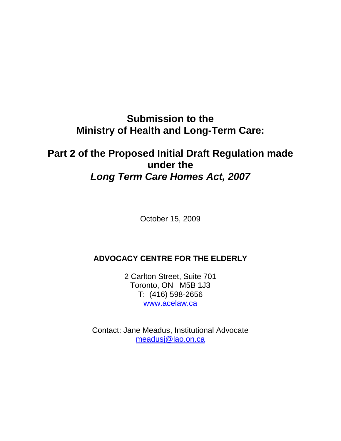**Submission to the Ministry of Health and Long-Term Care:** 

# **Part 2 of the Proposed Initial Draft Regulation made under the Long Term Care Homes Act, 2007**

October 15, 2009

# **ADVOCACY CENTRE FOR THE ELDERLY**

2 Carlton Street, Suite 701 Toronto, ON M5B 1J3 T: (416) 598-2656 www.acelaw.ca

Contact: Jane Meadus, Institutional Advocate meadusj@lao.on.ca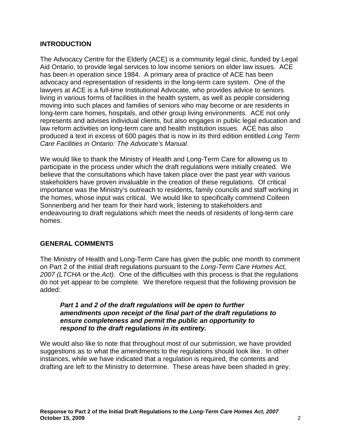### **INTRODUCTION**

The Advocacy Centre for the Elderly (ACE) is a community legal clinic, funded by Legal Aid Ontario, to provide legal services to low income seniors on elder law issues. ACE has been in operation since 1984. A primary area of practice of ACE has been advocacy and representation of residents in the long-term care system. One of the lawyers at ACE is a full-time Institutional Advocate, who provides advice to seniors living in various forms of facilities in the health system, as well as people considering moving into such places and families of seniors who may become or are residents in long-term care homes, hospitals, and other group living environments. ACE not only represents and advises individual clients, but also engages in public legal education and law reform activities on long-term care and health institution issues. ACE has also produced a text in excess of 600 pages that is now in its third edition entitled Long Term Care Facilities in Ontario: The Advocate's Manual.

We would like to thank the Ministry of Health and Long-Term Care for allowing us to participate in the process under which the draft regulations were initially created. We believe that the consultations which have taken place over the past year with various stakeholders have proven invaluable in the creation of these regulations. Of critical importance was the Ministry's outreach to residents, family councils and staff working in the homes, whose input was critical. We would like to specifically commend Colleen Sonnenberg and her team for their hard work, listening to stakeholders and endeavouring to draft regulations which meet the needs of residents of long-term care homes.

#### **GENERAL COMMENTS**

The Ministry of Health and Long-Term Care has given the public one month to comment on Part 2 of the initial draft regulations pursuant to the Long-Term Care Homes Act, 2007 (LTCHA or the Act). One of the difficulties with this process is that the regulations do not yet appear to be complete. We therefore request that the following provision be added:

#### **Part 1 and 2 of the draft regulations will be open to further amendments upon receipt of the final part of the draft regulations to ensure completeness and permit the public an opportunity to respond to the draft regulations in its entirety.**

We would also like to note that throughout most of our submission, we have provided suggestions as to what the amendments to the regulations should look like. In other instances, while we have indicated that a regulation is required, the contents and drafting are left to the Ministry to determine. These areas have been shaded in grey.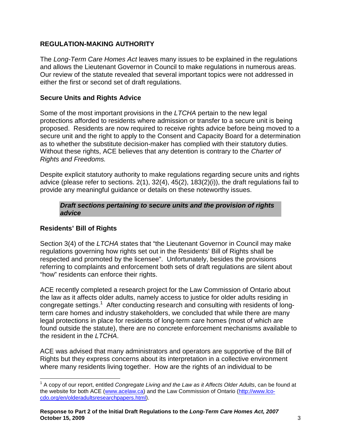# **REGULATION-MAKING AUTHORITY**

The Long-Term Care Homes Act leaves many issues to be explained in the regulations and allows the Lieutenant Governor in Council to make regulations in numerous areas. Our review of the statute revealed that several important topics were not addressed in either the first or second set of draft regulations.

# **Secure Units and Rights Advice**

Some of the most important provisions in the LTCHA pertain to the new legal protections afforded to residents where admission or transfer to a secure unit is being proposed. Residents are now required to receive rights advice before being moved to a secure unit and the right to apply to the Consent and Capacity Board for a determination as to whether the substitute decision-maker has complied with their statutory duties. Without these rights, ACE believes that any detention is contrary to the *Charter of* Rights and Freedoms.

Despite explicit statutory authority to make regulations regarding secure units and rights advice (please refer to sections. 2(1), 32(4), 45(2), 183(2)(i)), the draft regulations fail to provide any meaningful guidance or details on these noteworthy issues.

#### **Draft sections pertaining to secure units and the provision of rights advice**

# **Residents' Bill of Rights**

Section 3(4) of the LTCHA states that "the Lieutenant Governor in Council may make regulations governing how rights set out in the Residents' Bill of Rights shall be respected and promoted by the licensee". Unfortunately, besides the provisions referring to complaints and enforcement both sets of draft regulations are silent about "how" residents can enforce their rights.

ACE recently completed a research project for the Law Commission of Ontario about the law as it affects older adults, namely access to justice for older adults residing in congregate settings.<sup>1</sup> After conducting research and consulting with residents of longterm care homes and industry stakeholders, we concluded that while there are many legal protections in place for residents of long-term care homes (most of which are found outside the statute), there are no concrete enforcement mechanisms available to the resident in the LTCHA.

ACE was advised that many administrators and operators are supportive of the Bill of Rights but they express concerns about its interpretation in a collective environment where many residents living together. How are the rights of an individual to be

 $\overline{a}$  $1$  A copy of our report, entitled Congregate Living and the Law as it Affects Older Adults, can be found at the website for both ACE (www.acelaw.ca) and the Law Commission of Ontario (http://www.lcocdo.org/en/olderadultsresearchpapers.html).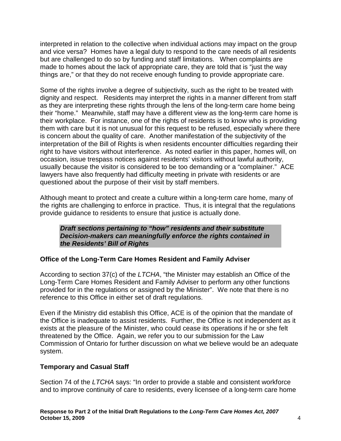interpreted in relation to the collective when individual actions may impact on the group and vice versa? Homes have a legal duty to respond to the care needs of all residents but are challenged to do so by funding and staff limitations. When complaints are made to homes about the lack of appropriate care, they are told that is "just the way things are," or that they do not receive enough funding to provide appropriate care.

Some of the rights involve a degree of subjectivity, such as the right to be treated with dignity and respect. Residents may interpret the rights in a manner different from staff as they are interpreting these rights through the lens of the long-term care home being their "home." Meanwhile, staff may have a different view as the long-term care home is their workplace. For instance, one of the rights of residents is to know who is providing them with care but it is not unusual for this request to be refused, especially where there is concern about the quality of care. Another manifestation of the subjectivity of the interpretation of the Bill of Rights is when residents encounter difficulties regarding their right to have visitors without interference. As noted earlier in this paper, homes will, on occasion, issue trespass notices against residents' visitors without lawful authority, usually because the visitor is considered to be too demanding or a "complainer." ACE lawyers have also frequently had difficulty meeting in private with residents or are questioned about the purpose of their visit by staff members.

Although meant to protect and create a culture within a long-term care home, many of the rights are challenging to enforce in practice. Thus, it is integral that the regulations provide guidance to residents to ensure that justice is actually done.

**Draft sections pertaining to "how" residents and their substitute Decision-makers can meaningfully enforce the rights contained in the Residents' Bill of Rights** 

# **Office of the Long-Term Care Homes Resident and Family Adviser**

According to section 37(c) of the LTCHA, "the Minister may establish an Office of the Long-Term Care Homes Resident and Family Adviser to perform any other functions provided for in the regulations or assigned by the Minister". We note that there is no reference to this Office in either set of draft regulations.

Even if the Ministry did establish this Office, ACE is of the opinion that the mandate of the Office is inadequate to assist residents. Further, the Office is not independent as it exists at the pleasure of the Minister, who could cease its operations if he or she felt threatened by the Office. Again, we refer you to our submission for the Law Commission of Ontario for further discussion on what we believe would be an adequate system.

#### **Temporary and Casual Staff**

Section 74 of the LTCHA says: "In order to provide a stable and consistent workforce and to improve continuity of care to residents, every licensee of a long-term care home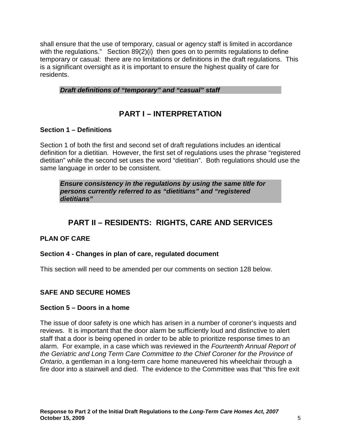shall ensure that the use of temporary, casual or agency staff is limited in accordance with the regulations." Section 89(2)(i) then goes on to permits regulations to define temporary or casual: there are no limitations or definitions in the draft regulations. This is a significant oversight as it is important to ensure the highest quality of care for residents.

### **Draft definitions of "temporary" and "casual" staff**

# **PART I – INTERPRETATION**

### **Section 1 – Definitions**

Section 1 of both the first and second set of draft regulations includes an identical definition for a dietitian. However, the first set of regulations uses the phrase "registered dietitian" while the second set uses the word "dietitian". Both regulations should use the same language in order to be consistent.

**Ensure consistency in the regulations by using the same title for persons currently referred to as "dietitians" and "registered dietitians"** 

# **PART II – RESIDENTS: RIGHTS, CARE AND SERVICES**

# **PLAN OF CARE**

#### **Section 4 - Changes in plan of care, regulated document**

This section will need to be amended per our comments on section 128 below.

#### **SAFE AND SECURE HOMES**

#### **Section 5 – Doors in a home**

The issue of door safety is one which has arisen in a number of coroner's inquests and reviews. It is important that the door alarm be sufficiently loud and distinctive to alert staff that a door is being opened in order to be able to prioritize response times to an alarm. For example, in a case which was reviewed in the Fourteenth Annual Report of the Geriatric and Long Term Care Committee to the Chief Coroner for the Province of Ontario, a gentleman in a long-term care home maneuvered his wheelchair through a fire door into a stairwell and died. The evidence to the Committee was that "this fire exit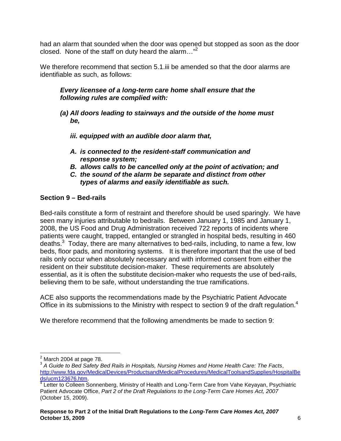had an alarm that sounded when the door was opened but stopped as soon as the door closed. None of the staff on duty heard the alarm... $"^{2}$ 

We therefore recommend that section 5.1.iii be amended so that the door alarms are identifiable as such, as follows:

### **Every licensee of a long-term care home shall ensure that the following rules are complied with:**

- **(a) All doors leading to stairways and the outside of the home must be,** 
	- **iii. equipped with an audible door alarm that,**
	- **A. is connected to the resident-staff communication and response system;**
	- **B. allows calls to be cancelled only at the point of activation; and**
	- **C. the sound of the alarm be separate and distinct from other types of alarms and easily identifiable as such.**

# **Section 9 – Bed-rails**

Bed-rails constitute a form of restraint and therefore should be used sparingly. We have seen many injuries attributable to bedrails. Between January 1, 1985 and January 1, 2008, the US Food and Drug Administration received 722 reports of incidents where patients were caught, trapped, entangled or strangled in hospital beds, resulting in 460 deaths. $3$  Today, there are many alternatives to bed-rails, including, to name a few, low beds, floor pads, and monitoring systems. It is therefore important that the use of bed rails only occur when absolutely necessary and with informed consent from either the resident on their substitute decision-maker. These requirements are absolutely essential, as it is often the substitute decision-maker who requests the use of bed-rails, believing them to be safe, without understanding the true ramifications.

ACE also supports the recommendations made by the Psychiatric Patient Advocate Office in its submissions to the Ministry with respect to section 9 of the draft regulation.<sup>4</sup>

We therefore recommend that the following amendments be made to section 9:

 2 March 2004 at page 78.

 $^3$  A Guide to Bed Safety Bed Rails in Hospitals, Nursing Homes and Home Health Care: The Facts, http://www.fda.gov/MedicalDevices/ProductsandMedicalProcedures/MedicalToolsandSupplies/HospitalBe ds/ucm123676.htm.

<sup>&</sup>lt;sup>4</sup> Letter to Colleen Sonnenberg, Ministry of Health and Long-Term Care from Vahe Keyayan, Psychiatric Patient Advocate Office, Part 2 of the Draft Regulations to the Long-Term Care Homes Act, 2007 (October 15, 2009).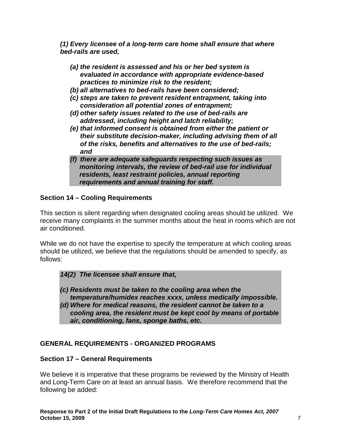**(1) Every licensee of a long-term care home shall ensure that where bed-rails are used,** 

- **(a) the resident is assessed and his or her bed system is evaluated in accordance with appropriate evidence-based practices to minimize risk to the resident;**
- **(b) all alternatives to bed-rails have been considered;**
- **(c) steps are taken to prevent resident entrapment, taking into consideration all potential zones of entrapment;**
- **(d) other safety issues related to the use of bed-rails are addressed, including height and latch reliability;**
- **(e) that informed consent is obtained from either the patient or their substitute decision-maker, including advising them of all of the risks, benefits and alternatives to the use of bed-rails; and**
- **(f) there are adequate safeguards respecting such issues as monitoring intervals, the review of bed-rail use for individual residents, least restraint policies, annual reporting requirements and annual training for staff.**

# **Section 14 – Cooling Requirements**

This section is silent regarding when designated cooling areas should be utilized. We receive many complaints in the summer months about the heat in rooms which are not air conditioned.

While we do not have the expertise to specify the temperature at which cooling areas should be utilized, we believe that the regulations should be amended to specify, as follows:

# **14(2) The licensee shall ensure that,**

- **(c) Residents must be taken to the cooling area when the temperature/humidex reaches xxxx, unless medically impossible.**
- **(d) Where for medical reasons, the resident cannot be taken to a cooling area, the resident must be kept cool by means of portable air, conditioning, fans, sponge baths, etc.**

# **GENERAL REQUIREMENTS - ORGANIZED PROGRAMS**

#### **Section 17 – General Requirements**

We believe it is imperative that these programs be reviewed by the Ministry of Health and Long-Term Care on at least an annual basis. We therefore recommend that the following be added: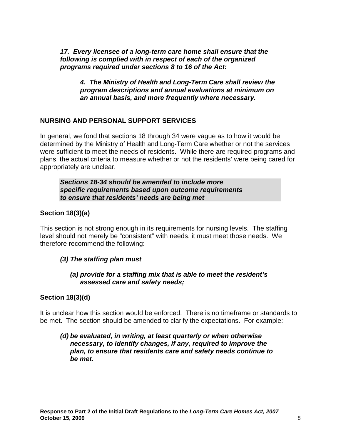**17. Every licensee of a long-term care home shall ensure that the following is complied with in respect of each of the organized programs required under sections 8 to 16 of the Act:** 

**4. The Ministry of Health and Long-Term Care shall review the program descriptions and annual evaluations at minimum on an annual basis, and more frequently where necessary.** 

# **NURSING AND PERSONAL SUPPORT SERVICES**

In general, we fond that sections 18 through 34 were vague as to how it would be determined by the Ministry of Health and Long-Term Care whether or not the services were sufficient to meet the needs of residents. While there are required programs and plans, the actual criteria to measure whether or not the residents' were being cared for appropriately are unclear.

**Sections 18-34 should be amended to include more specific requirements based upon outcome requirements to ensure that residents' needs are being met** 

# **Section 18(3)(a)**

This section is not strong enough in its requirements for nursing levels. The staffing level should not merely be "consistent" with needs, it must meet those needs. We therefore recommend the following:

# **(3) The staffing plan must**

#### **(a) provide for a staffing mix that is able to meet the resident's assessed care and safety needs;**

# **Section 18(3)(d)**

It is unclear how this section would be enforced. There is no timeframe or standards to be met. The section should be amended to clarify the expectations. For example:

#### **(d) be evaluated, in writing, at least quarterly or when otherwise necessary, to identify changes, if any, required to improve the plan, to ensure that residents care and safety needs continue to be met.**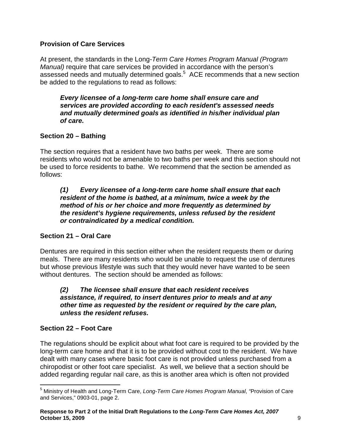# **Provision of Care Services**

At present, the standards in the Long-Term Care Homes Program Manual (Program Manual) require that care services be provided in accordance with the person's assessed needs and mutually determined goals.<sup>5</sup> ACE recommends that a new section be added to the regulations to read as follows:

**Every licensee of a long-term care home shall ensure care and services are provided according to each resident's assessed needs and mutually determined goals as identified in his/her individual plan of care.** 

# **Section 20 – Bathing**

The section requires that a resident have two baths per week. There are some residents who would not be amenable to two baths per week and this section should not be used to force residents to bathe. We recommend that the section be amended as follows:

#### **(1) Every licensee of a long-term care home shall ensure that each resident of the home is bathed, at a minimum, twice a week by the method of his or her choice and more frequently as determined by the resident's hygiene requirements, unless refused by the resident or contraindicated by a medical condition.**

# **Section 21 – Oral Care**

Dentures are required in this section either when the resident requests them or during meals. There are many residents who would be unable to request the use of dentures but whose previous lifestyle was such that they would never have wanted to be seen without dentures. The section should be amended as follows:

#### **(2) The licensee shall ensure that each resident receives assistance, if required, to insert dentures prior to meals and at any other time as requested by the resident or required by the care plan, unless the resident refuses.**

#### **Section 22 – Foot Care**

The regulations should be explicit about what foot care is required to be provided by the long-term care home and that it is to be provided without cost to the resident. We have dealt with many cases where basic foot care is not provided unless purchased from a chiropodist or other foot care specialist. As well, we believe that a section should be added regarding regular nail care, as this is another area which is often not provided

<sup>&</sup>lt;u>.</u> <sup>5</sup> Ministry of Health and Long-Term Care, Long-Term Care Homes Program Manual, "Provision of Care and Services," 0903-01, page 2.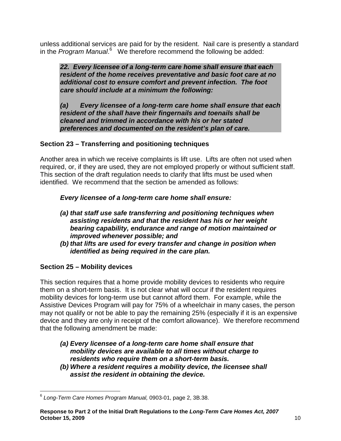unless additional services are paid for by the resident. Nail care is presently a standard in the Program Manual.<sup>6</sup> We therefore recommend the following be added:

**22. Every licensee of a long-term care home shall ensure that each resident of the home receives preventative and basic foot care at no additional cost to ensure comfort and prevent infection. The foot care should include at a minimum the following:** 

**(a) Every licensee of a long-term care home shall ensure that each resident of the shall have their fingernails and toenails shall be cleaned and trimmed in accordance with his or her stated preferences and documented on the resident's plan of care.** 

# **Section 23 – Transferring and positioning techniques**

Another area in which we receive complaints is lift use. Lifts are often not used when required, or, if they are used, they are not employed properly or without sufficient staff. This section of the draft regulation needs to clarify that lifts must be used when identified. We recommend that the section be amended as follows:

**Every licensee of a long-term care home shall ensure:** 

- **(a) that staff use safe transferring and positioning techniques when assisting residents and that the resident has his or her weight bearing capability, endurance and range of motion maintained or improved whenever possible; and**
- **(b) that lifts are used for every transfer and change in position when identified as being required in the care plan.**

# **Section 25 – Mobility devices**

This section requires that a home provide mobility devices to residents who require them on a short-term basis. It is not clear what will occur if the resident requires mobility devices for long-term use but cannot afford them. For example, while the Assistive Devices Program will pay for 75% of a wheelchair in many cases, the person may not qualify or not be able to pay the remaining 25% (especially if it is an expensive device and they are only in receipt of the comfort allowance). We therefore recommend that the following amendment be made:

- **(a) Every licensee of a long-term care home shall ensure that mobility devices are available to all times without charge to residents who require them on a short-term basis.**
- **(b) Where a resident requires a mobility device, the licensee shall assist the resident in obtaining the device.**

 6 Long-Term Care Homes Program Manual, 0903-01, page 2, 3B.38.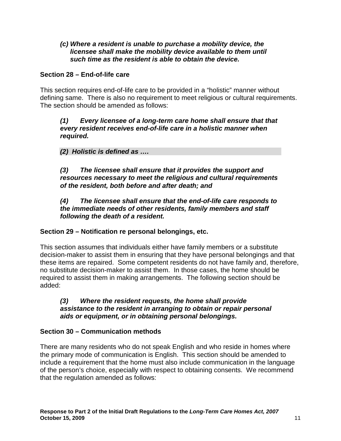#### **(c) Where a resident is unable to purchase a mobility device, the licensee shall make the mobility device available to them until such time as the resident is able to obtain the device.**

### **Section 28 – End-of-life care**

This section requires end-of-life care to be provided in a "holistic" manner without defining same. There is also no requirement to meet religious or cultural requirements. The section should be amended as follows:

#### **(1) Every licensee of a long-term care home shall ensure that that every resident receives end-of-life care in a holistic manner when required.**

# **(2) Holistic is defined as ….**

**(3) The licensee shall ensure that it provides the support and resources necessary to meet the religious and cultural requirements of the resident, both before and after death; and** 

#### **(4) The licensee shall ensure that the end-of-life care responds to the immediate needs of other residents, family members and staff following the death of a resident.**

# **Section 29 – Notification re personal belongings, etc.**

This section assumes that individuals either have family members or a substitute decision-maker to assist them in ensuring that they have personal belongings and that these items are repaired. Some competent residents do not have family and, therefore, no substitute decision-maker to assist them. In those cases, the home should be required to assist them in making arrangements. The following section should be added:

#### **(3) Where the resident requests, the home shall provide assistance to the resident in arranging to obtain or repair personal aids or equipment, or in obtaining personal belongings.**

# **Section 30 – Communication methods**

There are many residents who do not speak English and who reside in homes where the primary mode of communication is English. This section should be amended to include a requirement that the home must also include communication in the language of the person's choice, especially with respect to obtaining consents. We recommend that the regulation amended as follows: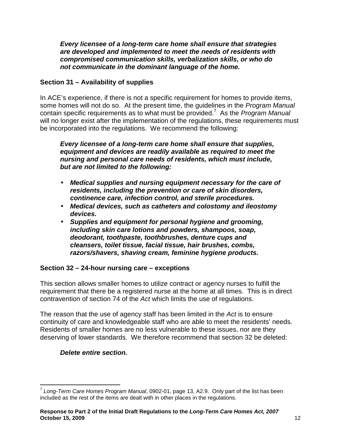**Every licensee of a long-term care home shall ensure that strategies are developed and implemented to meet the needs of residents with compromised communication skills, verbalization skills, or who do not communicate in the dominant language of the home.**

# **Section 31 – Availability of supplies**

In ACE's experience, if there is not a specific requirement for homes to provide items, some homes will not do so. At the present time, the quidelines in the *Program Manual* contain specific requirements as to what must be provided.<sup>7</sup> As the Program Manual will no longer exist after the implementation of the regulations, these requirements must be incorporated into the regulations. We recommend the following:

**Every licensee of a long-term care home shall ensure that supplies, equipment and devices are readily available as required to meet the nursing and personal care needs of residents, which must include, but are not limited to the following:** 

- **Medical supplies and nursing equipment necessary for the care of residents, including the prevention or care of skin disorders, continence care, infection control, and sterile procedures.**
- **Medical devices, such as catheters and colostomy and ileostomy devices.**
- **Supplies and equipment for personal hygiene and grooming, including skin care lotions and powders, shampoos, soap, deodorant, toothpaste, toothbrushes, denture cups and cleansers, toilet tissue, facial tissue, hair brushes, combs, razors/shavers, shaving cream, feminine hygiene products.**

# **Section 32 – 24-hour nursing care – exceptions**

This section allows smaller homes to utilize contract or agency nurses to fulfill the requirement that there be a registered nurse at the home at all times. This is in direct contravention of section 74 of the Act which limits the use of regulations.

The reason that the use of agency staff has been limited in the Act is to ensure continuity of care and knowledgeable staff who are able to meet the residents' needs. Residents of smaller homes are no less vulnerable to these issues, nor are they deserving of lower standards. We therefore recommend that section 32 be deleted:

# **Delete entire section.**

 7 Long-Term Care Homes Program Manual, 0902-01, page 13, A2.9. Only part of the list has been included as the rest of the items are dealt with in other places in the regulations.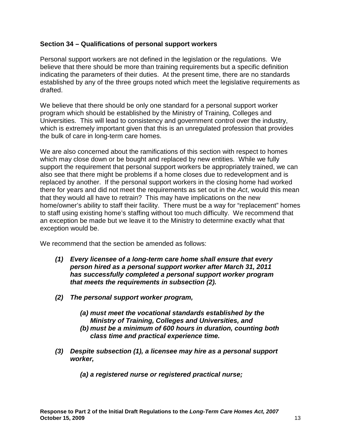#### **Section 34 – Qualifications of personal support workers**

Personal support workers are not defined in the legislation or the regulations. We believe that there should be more than training requirements but a specific definition indicating the parameters of their duties. At the present time, there are no standards established by any of the three groups noted which meet the legislative requirements as drafted.

We believe that there should be only one standard for a personal support worker program which should be established by the Ministry of Training, Colleges and Universities. This will lead to consistency and government control over the industry, which is extremely important given that this is an unregulated profession that provides the bulk of care in long-term care homes.

We are also concerned about the ramifications of this section with respect to homes which may close down or be bought and replaced by new entities. While we fully support the requirement that personal support workers be appropriately trained, we can also see that there might be problems if a home closes due to redevelopment and is replaced by another. If the personal support workers in the closing home had worked there for years and did not meet the requirements as set out in the Act, would this mean that they would all have to retrain? This may have implications on the new home/owner's ability to staff their facility. There must be a way for "replacement" homes to staff using existing home's staffing without too much difficulty. We recommend that an exception be made but we leave it to the Ministry to determine exactly what that exception would be.

We recommend that the section be amended as follows:

- **(1) Every licensee of a long-term care home shall ensure that every person hired as a personal support worker after March 31, 2011 has successfully completed a personal support worker program that meets the requirements in subsection (2).**
- **(2) The personal support worker program,** 
	- **(a) must meet the vocational standards established by the Ministry of Training, Colleges and Universities, and**
	- **(b) must be a minimum of 600 hours in duration, counting both class time and practical experience time.**
- **(3) Despite subsection (1), a licensee may hire as a personal support worker,** 
	- **(a) a registered nurse or registered practical nurse;**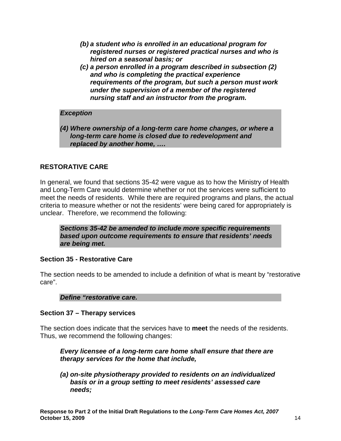- **(b) a student who is enrolled in an educational program for registered nurses or registered practical nurses and who is hired on a seasonal basis; or**
- **(c) a person enrolled in a program described in subsection (2) and who is completing the practical experience requirements of the program, but such a person must work under the supervision of a member of the registered nursing staff and an instructor from the program.**

#### **Exception**

**(4) Where ownership of a long-term care home changes, or where a long-term care home is closed due to redevelopment and replaced by another home, ….** 

# **RESTORATIVE CARE**

In general, we found that sections 35-42 were vague as to how the Ministry of Health and Long-Term Care would determine whether or not the services were sufficient to meet the needs of residents. While there are required programs and plans, the actual criteria to measure whether or not the residents' were being cared for appropriately is unclear. Therefore, we recommend the following:

**Sections 35-42 be amended to include more specific requirements based upon outcome requirements to ensure that residents' needs are being met.** 

#### **Section 35 - Restorative Care**

The section needs to be amended to include a definition of what is meant by "restorative care".

**Define "restorative care.** 

#### **Section 37 – Therapy services**

The section does indicate that the services have to **meet** the needs of the residents. Thus, we recommend the following changes:

**Every licensee of a long-term care home shall ensure that there are therapy services for the home that include,** 

**(a) on-site physiotherapy provided to residents on an individualized basis or in a group setting to meet residents' assessed care needs;**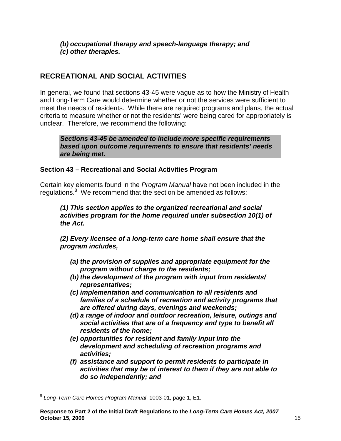**(b) occupational therapy and speech-language therapy; and (c) other therapies.** 

# **RECREATIONAL AND SOCIAL ACTIVITIES**

In general, we found that sections 43-45 were vague as to how the Ministry of Health and Long-Term Care would determine whether or not the services were sufficient to meet the needs of residents. While there are required programs and plans, the actual criteria to measure whether or not the residents' were being cared for appropriately is unclear. Therefore, we recommend the following:

**Sections 43-45 be amended to include more specific requirements based upon outcome requirements to ensure that residents' needs are being met.** 

# **Section 43 – Recreational and Social Activities Program**

Certain key elements found in the Program Manual have not been included in the regulations.<sup>8</sup> We recommend that the section be amended as follows:

**(1) This section applies to the organized recreational and social activities program for the home required under subsection 10(1) of the Act.** 

**(2) Every licensee of a long-term care home shall ensure that the program includes,** 

- **(a) the provision of supplies and appropriate equipment for the program without charge to the residents;**
- **(b) the development of the program with input from residents/ representatives;**
- **(c) implementation and communication to all residents and families of a schedule of recreation and activity programs that are offered during days, evenings and weekends;**
- **(d) a range of indoor and outdoor recreation, leisure, outings and social activities that are of a frequency and type to benefit all residents of the home;**
- **(e) opportunities for resident and family input into the development and scheduling of recreation programs and activities;**
- **(f) assistance and support to permit residents to participate in activities that may be of interest to them if they are not able to do so independently; and**

 8 Long-Term Care Homes Program Manual, 1003-01, page 1, E1.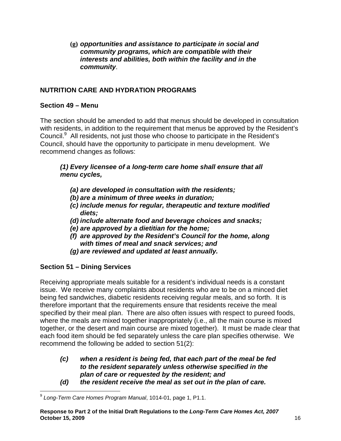**(g) opportunities and assistance to participate in social and community programs, which are compatible with their interests and abilities, both within the facility and in the community**.

# **NUTRITION CARE AND HYDRATION PROGRAMS**

### **Section 49 – Menu**

The section should be amended to add that menus should be developed in consultation with residents, in addition to the requirement that menus be approved by the Resident's Council.<sup>9</sup> All residents, not just those who choose to participate in the Resident's Council, should have the opportunity to participate in menu development. We recommend changes as follows:

### **(1) Every licensee of a long-term care home shall ensure that all menu cycles,**

- **(a) are developed in consultation with the residents;**
- **(b) are a minimum of three weeks in duration;**
- **(c) include menus for regular, therapeutic and texture modified diets;**
- **(d) include alternate food and beverage choices and snacks;**
- **(e) are approved by a dietitian for the home;**
- **(f) are approved by the Resident's Council for the home, along with times of meal and snack services; and**
- **(g) are reviewed and updated at least annually.**

# **Section 51 – Dining Services**

Receiving appropriate meals suitable for a resident's individual needs is a constant issue. We receive many complaints about residents who are to be on a minced diet being fed sandwiches, diabetic residents receiving regular meals, and so forth. It is therefore important that the requirements ensure that residents receive the meal specified by their meal plan. There are also often issues with respect to pureed foods, where the meals are mixed together inappropriately (i.e., all the main course is mixed together, or the desert and main course are mixed together). It must be made clear that each food item should be fed separately unless the care plan specifies otherwise. We recommend the following be added to section 51(2):

- **(c) when a resident is being fed, that each part of the meal be fed to the resident separately unless otherwise specified in the plan of care or requested by the resident; and**
- **(d) the resident receive the meal as set out in the plan of care.**

 9 Long-Term Care Homes Program Manual, 1014-01, page 1, P1.1.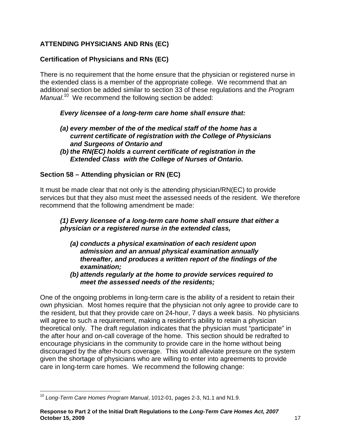# **ATTENDING PHYSICIANS AND RNs (EC)**

# **Certification of Physicians and RNs (EC)**

There is no requirement that the home ensure that the physician or registered nurse in the extended class is a member of the appropriate college. We recommend that an additional section be added similar to section 33 of these regulations and the Program Manual.<sup>10</sup> We recommend the following section be added:

### **Every licensee of a long-term care home shall ensure that:**

- **(a) every member of the of the medical staff of the home has a current certificate of registration with the College of Physicians and Surgeons of Ontario and**
- **(b) the RN(EC) holds a current certificate of registration in the Extended Class with the College of Nurses of Ontario.**

# **Section 58 – Attending physician or RN (EC)**

It must be made clear that not only is the attending physician/RN(EC) to provide services but that they also must meet the assessed needs of the resident. We therefore recommend that the following amendment be made:

#### **(1) Every licensee of a long-term care home shall ensure that either a physician or a registered nurse in the extended class,**

- **(a) conducts a physical examination of each resident upon admission and an annual physical examination annually thereafter, and produces a written report of the findings of the examination;**
- **(b) attends regularly at the home to provide services required to meet the assessed needs of the residents;**

One of the ongoing problems in long-term care is the ability of a resident to retain their own physician. Most homes require that the physician not only agree to provide care to the resident, but that they provide care on 24-hour, 7 days a week basis. No physicians will agree to such a requirement, making a resident's ability to retain a physician theoretical only. The draft regulation indicates that the physician must "participate" in the after hour and on-call coverage of the home. This section should be redrafted to encourage physicians in the community to provide care in the home without being discouraged by the after-hours coverage. This would alleviate pressure on the system given the shortage of physicians who are willing to enter into agreements to provide care in long-term care homes. We recommend the following change:

 $\overline{a}$  $10$  Long-Term Care Homes Program Manual, 1012-01, pages 2-3, N1.1 and N1.9.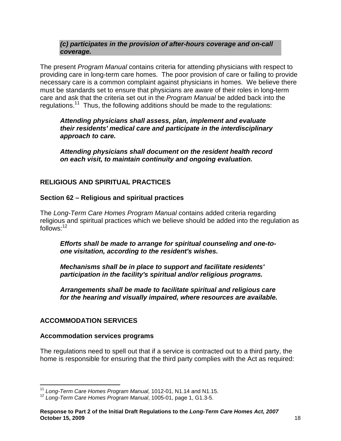#### **(c) participates in the provision of after-hours coverage and on-call coverage.**

The present *Program Manual* contains criteria for attending physicians with respect to providing care in long-term care homes. The poor provision of care or failing to provide necessary care is a common complaint against physicians in homes. We believe there must be standards set to ensure that physicians are aware of their roles in long-term care and ask that the criteria set out in the Program Manual be added back into the regulations.<sup>11</sup> Thus, the following additions should be made to the regulations:

**Attending physicians shall assess, plan, implement and evaluate their residents' medical care and participate in the interdisciplinary approach to care.** 

**Attending physicians shall document on the resident health record on each visit, to maintain continuity and ongoing evaluation.** 

# **RELIGIOUS AND SPIRITUAL PRACTICES**

### **Section 62 – Religious and spiritual practices**

The Long-Term Care Homes Program Manual contains added criteria regarding religious and spiritual practices which we believe should be added into the regulation as  $follows<sup>.12</sup>$ 

**Efforts shall be made to arrange for spiritual counseling and one-toone visitation, according to the resident's wishes.**

**Mechanisms shall be in place to support and facilitate residents' participation in the facility's spiritual and/or religious programs.** 

**Arrangements shall be made to facilitate spiritual and religious care for the hearing and visually impaired, where resources are available.**

# **ACCOMMODATION SERVICES**

#### **Accommodation services programs**

The regulations need to spell out that if a service is contracted out to a third party, the home is responsible for ensuring that the third party complies with the Act as required:

 $\overline{1}$  $11$  Long-Term Care Homes Program Manual, 1012-01, N1.14 and N1.15.

<sup>&</sup>lt;sup>12</sup> Long-Term Care Homes Program Manual, 1005-01, page 1, G1.3-5.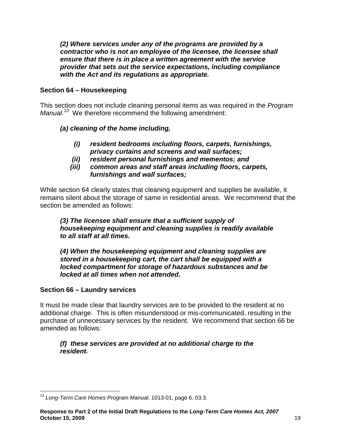**(2) Where services under any of the programs are provided by a contractor who is not an employee of the licensee, the licensee shall ensure that there is in place a written agreement with the service provider that sets out the service expectations, including compliance with the Act and its regulations as appropriate.** 

# **Section 64 – Housekeeping**

This section does not include cleaning personal items as was required in the Program Manual.<sup>13</sup> We therefore recommend the following amendment:

# **(a) cleaning of the home including,**

- **(i) resident bedrooms including floors, carpets, furnishings, privacy curtains and screens and wall surfaces;**
- **(ii) resident personal furnishings and mementos; and**
- **(iii) common areas and staff areas including floors, carpets, furnishings and wall surfaces;**

While section 64 clearly states that cleaning equipment and supplies be available, it remains silent about the storage of same in residential areas. We recommend that the section be amended as follows:

### **(3) The licensee shall ensure that a sufficient supply of housekeeping equipment and cleaning supplies is readily available to all staff at all times.**

**(4) When the housekeeping equipment and cleaning supplies are stored in a housekeeping cart, the cart shall be equipped with a locked compartment for storage of hazardous substances and be locked at all times when not attended.** 

# **Section 66 – Laundry services**

It must be made clear that laundry services are to be provided to the resident at no additional charge. This is often misunderstood or mis-communicated, resulting in the purchase of unnecessary services by the resident. We recommend that section 66 be amended as follows:

### **(f) these services are provided at no additional charge to the resident.**

 $\overline{1}$  $^{13}$  Long-Term Care Homes Program Manual, 1013-01, page 6, 03.3.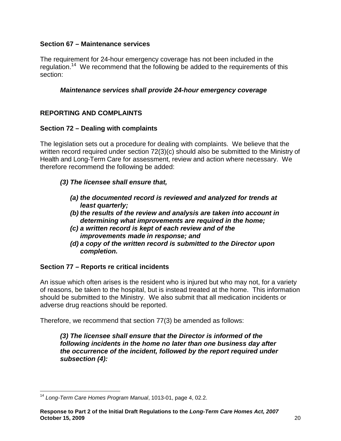# **Section 67 – Maintenance services**

The requirement for 24-hour emergency coverage has not been included in the regulation.<sup>14</sup> We recommend that the following be added to the requirements of this section:

### **Maintenance services shall provide 24-hour emergency coverage**

# **REPORTING AND COMPLAINTS**

### **Section 72 – Dealing with complaints**

The legislation sets out a procedure for dealing with complaints. We believe that the written record required under section 72(3)(c) should also be submitted to the Ministry of Health and Long-Term Care for assessment, review and action where necessary. We therefore recommend the following be added:

- **(3) The licensee shall ensure that,** 
	- **(a) the documented record is reviewed and analyzed for trends at least quarterly;**
	- **(b) the results of the review and analysis are taken into account in determining what improvements are required in the home;**
	- **(c) a written record is kept of each review and of the improvements made in response; and**
	- **(d) a copy of the written record is submitted to the Director upon completion.**

#### **Section 77 – Reports re critical incidents**

An issue which often arises is the resident who is injured but who may not, for a variety of reasons, be taken to the hospital, but is instead treated at the home. This information should be submitted to the Ministry. We also submit that all medication incidents or adverse drug reactions should be reported.

Therefore, we recommend that section 77(3) be amended as follows:

**(3) The licensee shall ensure that the Director is informed of the following incidents in the home no later than one business day after the occurrence of the incident, followed by the report required under subsection (4):** 

 $\overline{a}$ <sup>14</sup> Long-Term Care Homes Program Manual, 1013-01, page 4, 02.2.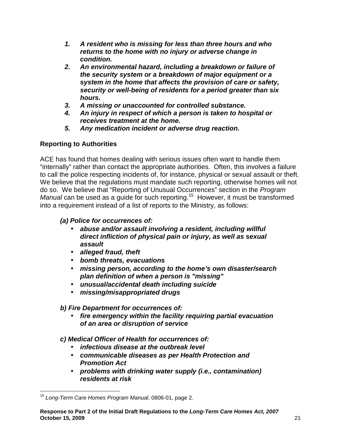- **1. A resident who is missing for less than three hours and who returns to the home with no injury or adverse change in condition.**
- **2. An environmental hazard, including a breakdown or failure of the security system or a breakdown of major equipment or a system in the home that affects the provision of care or safety, security or well-being of residents for a period greater than six hours.**
- **3. A missing or unaccounted for controlled substance.**
- **4. An injury in respect of which a person is taken to hospital or receives treatment at the home.**
- **5. Any medication incident or adverse drug reaction.**

# **Reporting to Authorities**

ACE has found that homes dealing with serious issues often want to handle them "internally" rather than contact the appropriate authorities. Often, this involves a failure to call the police respecting incidents of, for instance, physical or sexual assault or theft. We believe that the regulations must mandate such reporting, otherwise homes will not do so. We believe that "Reporting of Unusual Occurrences" section in the Program Manual can be used as a guide for such reporting.<sup>15</sup> However, it must be transformed into a requirement instead of a list of reports to the Ministry, as follows:

# **(a) Police for occurrences of:**

- **abuse and/or assault involving a resident, including willful direct infliction of physical pain or injury, as well as sexual assault**
- **alleged fraud, theft**
- **bomb threats, evacuations**
- **missing person, according to the home's own disaster/search plan definition of when a person is "missing"**
- **unusual/accidental death including suicide**
- **missing/misappropriated drugs**

**b) Fire Department for occurrences of:** 

• **fire emergency within the facility requiring partial evacuation of an area or disruption of service** 

**c) Medical Officer of Health for occurrences of:** 

- **infectious disease at the outbreak level**
- **communicable diseases as per Health Protection and Promotion Act**
- **problems with drinking water supply (i.e., contamination) residents at risk**

 $\overline{1}$ <sup>15</sup> Long-Term Care Homes Program Manual, 0806-01, page 2.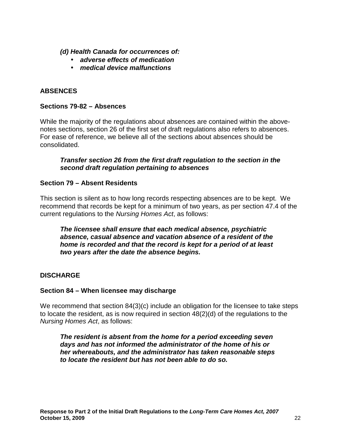**(d) Health Canada for occurrences of:** 

- **adverse effects of medication**
- **medical device malfunctions**

# **ABSENCES**

#### **Sections 79-82 – Absences**

While the majority of the regulations about absences are contained within the abovenotes sections, section 26 of the first set of draft regulations also refers to absences. For ease of reference, we believe all of the sections about absences should be consolidated.

#### **Transfer section 26 from the first draft regulation to the section in the second draft regulation pertaining to absences**

#### **Section 79 – Absent Residents**

This section is silent as to how long records respecting absences are to be kept. We recommend that records be kept for a minimum of two years, as per section 47.4 of the current regulations to the Nursing Homes Act, as follows:

**The licensee shall ensure that each medical absence, psychiatric absence, casual absence and vacation absence of a resident of the home is recorded and that the record is kept for a period of at least two years after the date the absence begins.** 

#### **DISCHARGE**

#### **Section 84 – When licensee may discharge**

We recommend that section 84(3)(c) include an obligation for the licensee to take steps to locate the resident, as is now required in section 48(2)(d) of the regulations to the Nursing Homes Act, as follows:

**The resident is absent from the home for a period exceeding seven days and has not informed the administrator of the home of his or her whereabouts, and the administrator has taken reasonable steps to locate the resident but has not been able to do so.**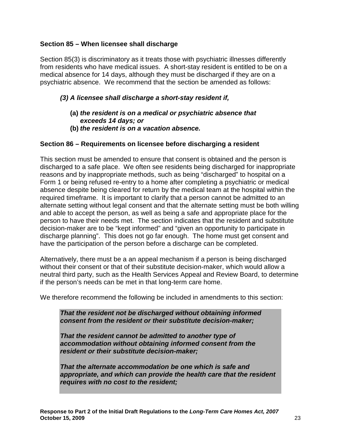### **Section 85 – When licensee shall discharge**

Section 85(3) is discriminatory as it treats those with psychiatric illnesses differently from residents who have medical issues. A short-stay resident is entitled to be on a medical absence for 14 days, although they must be discharged if they are on a psychiatric absence. We recommend that the section be amended as follows:

### **(3) A licensee shall discharge a short-stay resident if,**

- **(a) the resident is on a medical or psychiatric absence that exceeds 14 days; or**
- **(b) the resident is on a vacation absence.**

### **Section 86 – Requirements on licensee before discharging a resident**

This section must be amended to ensure that consent is obtained and the person is discharged to a safe place. We often see residents being discharged for inappropriate reasons and by inappropriate methods, such as being "discharged" to hospital on a Form 1 or being refused re-entry to a home after completing a psychiatric or medical absence despite being cleared for return by the medical team at the hospital within the required timeframe. It is important to clarify that a person cannot be admitted to an alternate setting without legal consent and that the alternate setting must be both willing and able to accept the person, as well as being a safe and appropriate place for the person to have their needs met. The section indicates that the resident and substitute decision-maker are to be "kept informed" and "given an opportunity to participate in discharge planning". This does not go far enough. The home must get consent and have the participation of the person before a discharge can be completed.

Alternatively, there must be a an appeal mechanism if a person is being discharged without their consent or that of their substitute decision-maker, which would allow a neutral third party, such as the Health Services Appeal and Review Board, to determine if the person's needs can be met in that long-term care home.

We therefore recommend the following be included in amendments to this section:

**That the resident not be discharged without obtaining informed consent from the resident or their substitute decision-maker;** 

**That the resident cannot be admitted to another type of accommodation without obtaining informed consent from the resident or their substitute decision-maker;** 

**That the alternate accommodation be one which is safe and appropriate, and which can provide the health care that the resident requires with no cost to the resident;**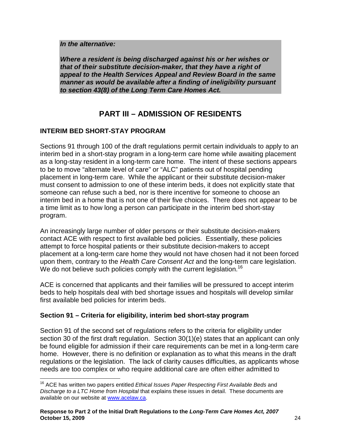#### **In the alternative:**

**Where a resident is being discharged against his or her wishes or that of their substitute decision-maker, that they have a right of appeal to the Health Services Appeal and Review Board in the same manner as would be available after a finding of ineligibility pursuant to section 43(8) of the Long Term Care Homes Act.**

# **PART III – ADMISSION OF RESIDENTS**

# **INTERIM BED SHORT-STAY PROGRAM**

Sections 91 through 100 of the draft regulations permit certain individuals to apply to an interim bed in a short-stay program in a long-term care home while awaiting placement as a long-stay resident in a long-term care home. The intent of these sections appears to be to move "alternate level of care" or "ALC" patients out of hospital pending placement in long-term care. While the applicant or their substitute decision-maker must consent to admission to one of these interim beds, it does not explicitly state that someone can refuse such a bed, nor is there incentive for someone to choose an interim bed in a home that is not one of their five choices. There does not appear to be a time limit as to how long a person can participate in the interim bed short-stay program.

An increasingly large number of older persons or their substitute decision-makers contact ACE with respect to first available bed policies. Essentially, these policies attempt to force hospital patients or their substitute decision-makers to accept placement at a long-term care home they would not have chosen had it not been forced upon them, contrary to the Health Care Consent Act and the long-term care legislation. We do not believe such policies comply with the current legislation.<sup>16</sup>

ACE is concerned that applicants and their families will be pressured to accept interim beds to help hospitals deal with bed shortage issues and hospitals will develop similar first available bed policies for interim beds.

# **Section 91 – Criteria for eligibility, interim bed short-stay program**

Section 91 of the second set of regulations refers to the criteria for eligibility under section 30 of the first draft regulation. Section 30(1)(e) states that an applicant can only be found eligible for admission if their care requirements can be met in a long-term care home. However, there is no definition or explanation as to what this means in the draft regulations or the legislation. The lack of clarity causes difficulties, as applicants whose needs are too complex or who require additional care are often either admitted to

 $\overline{a}$  $16$  ACE has written two papers entitled Ethical Issues Paper Respecting First Available Beds and Discharge to a LTC Home from Hospital that explains these issues in detail. These documents are available on our website at www.acelaw.ca.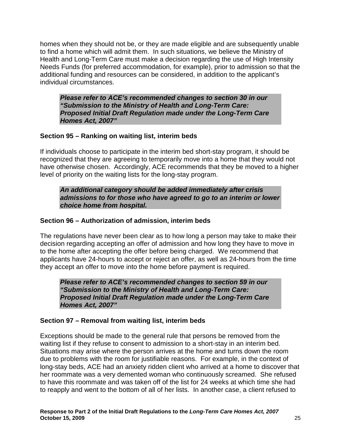homes when they should not be, or they are made eligible and are subsequently unable to find a home which will admit them. In such situations, we believe the Ministry of Health and Long-Term Care must make a decision regarding the use of High Intensity Needs Funds (for preferred accommodation, for example), prior to admission so that the additional funding and resources can be considered, in addition to the applicant's individual circumstances.

**Please refer to ACE's recommended changes to section 30 in our "Submission to the Ministry of Health and Long-Term Care: Proposed Initial Draft Regulation made under the Long-Term Care Homes Act, 2007"** 

# **Section 95 – Ranking on waiting list, interim beds**

If individuals choose to participate in the interim bed short-stay program, it should be recognized that they are agreeing to temporarily move into a home that they would not have otherwise chosen. Accordingly, ACE recommends that they be moved to a higher level of priority on the waiting lists for the long-stay program.

**An additional category should be added immediately after crisis admissions to for those who have agreed to go to an interim or lower choice home from hospital.** 

### **Section 96 – Authorization of admission, interim beds**

The regulations have never been clear as to how long a person may take to make their decision regarding accepting an offer of admission and how long they have to move in to the home after accepting the offer before being charged. We recommend that applicants have 24-hours to accept or reject an offer, as well as 24-hours from the time they accept an offer to move into the home before payment is required.

**Please refer to ACE's recommended changes to section 59 in our "Submission to the Ministry of Health and Long-Term Care: Proposed Initial Draft Regulation made under the Long-Term Care Homes Act, 2007"** 

# **Section 97 – Removal from waiting list, interim beds**

Exceptions should be made to the general rule that persons be removed from the waiting list if they refuse to consent to admission to a short-stay in an interim bed. Situations may arise where the person arrives at the home and turns down the room due to problems with the room for justifiable reasons. For example, in the context of long-stay beds, ACE had an anxiety ridden client who arrived at a home to discover that her roommate was a very demented woman who continuously screamed. She refused to have this roommate and was taken off of the list for 24 weeks at which time she had to reapply and went to the bottom of all of her lists. In another case, a client refused to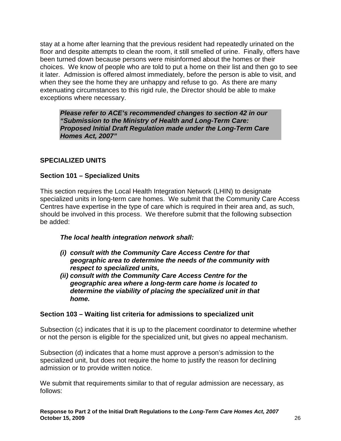stay at a home after learning that the previous resident had repeatedly urinated on the floor and despite attempts to clean the room, it still smelled of urine. Finally, offers have been turned down because persons were misinformed about the homes or their choices. We know of people who are told to put a home on their list and then go to see it later. Admission is offered almost immediately, before the person is able to visit, and when they see the home they are unhappy and refuse to go. As there are many extenuating circumstances to this rigid rule, the Director should be able to make exceptions where necessary.

**Please refer to ACE's recommended changes to section 42 in our "Submission to the Ministry of Health and Long-Term Care: Proposed Initial Draft Regulation made under the Long-Term Care Homes Act, 2007"** 

### **SPECIALIZED UNITS**

### **Section 101 – Specialized Units**

This section requires the Local Health Integration Network (LHIN) to designate specialized units in long-term care homes. We submit that the Community Care Access Centres have expertise in the type of care which is required in their area and, as such, should be involved in this process. We therefore submit that the following subsection be added:

#### **The local health integration network shall:**

- **(i) consult with the Community Care Access Centre for that geographic area to determine the needs of the community with respect to specialized units,**
- **(ii) consult with the Community Care Access Centre for the geographic area where a long-term care home is located to determine the viability of placing the specialized unit in that home.**

#### **Section 103 – Waiting list criteria for admissions to specialized unit**

Subsection (c) indicates that it is up to the placement coordinator to determine whether or not the person is eligible for the specialized unit, but gives no appeal mechanism.

Subsection (d) indicates that a home must approve a person's admission to the specialized unit, but does not require the home to justify the reason for declining admission or to provide written notice.

We submit that requirements similar to that of regular admission are necessary, as follows: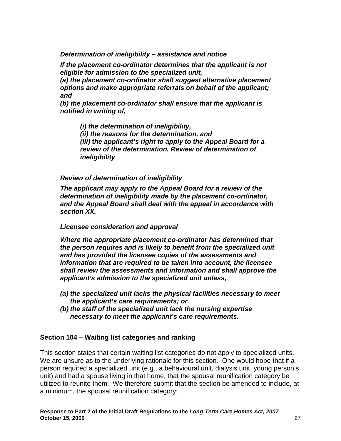**Determination of ineligibility – assistance and notice** 

**If the placement co-ordinator determines that the applicant is not eligible for admission to the specialized unit,** 

**(a) the placement co-ordinator shall suggest alternative placement options and make appropriate referrals on behalf of the applicant; and** 

**(b) the placement co-ordinator shall ensure that the applicant is notified in writing of,** 

**(i) the determination of ineligibility, (ii) the reasons for the determination, and (iii) the applicant's right to apply to the Appeal Board for a review of the determination. Review of determination of ineligibility** 

**Review of determination of ineligibility** 

**The applicant may apply to the Appeal Board for a review of the determination of ineligibility made by the placement co-ordinator, and the Appeal Board shall deal with the appeal in accordance with section XX.** 

#### **Licensee consideration and approval**

**Where the appropriate placement co-ordinator has determined that the person requires and is likely to benefit from the specialized unit and has provided the licensee copies of the assessments and information that are required to be taken into account, the licensee shall review the assessments and information and shall approve the applicant's admission to the specialized unit unless,** 

- **(a) the specialized unit lacks the physical facilities necessary to meet the applicant's care requirements; or**
- **(b) the staff of the specialized unit lack the nursing expertise necessary to meet the applicant's care requirements.**

#### **Section 104 – Waiting list categories and ranking**

This section states that certain waiting list categories do not apply to specialized units. We are unsure as to the underlying rationale for this section. One would hope that if a person required a specialized unit (e.g., a behavioural unit, dialysis unit, young person's unit) and had a spouse living in that home, that the spousal reunification category be utilized to reunite them. We therefore submit that the section be amended to include, at a minimum, the spousal reunification category: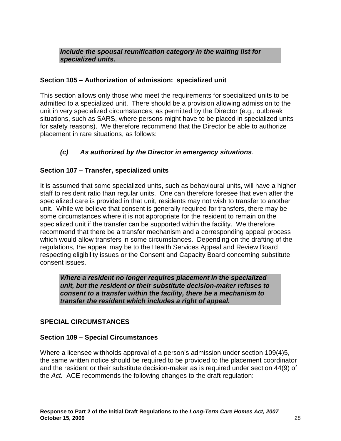#### **Include the spousal reunification category in the waiting list for specialized units.**

### **Section 105 – Authorization of admission: specialized unit**

This section allows only those who meet the requirements for specialized units to be admitted to a specialized unit. There should be a provision allowing admission to the unit in very specialized circumstances, as permitted by the Director (e.g., outbreak situations, such as SARS, where persons might have to be placed in specialized units for safety reasons). We therefore recommend that the Director be able to authorize placement in rare situations, as follows:

# **(c) As authorized by the Director in emergency situations**.

# **Section 107 – Transfer, specialized units**

It is assumed that some specialized units, such as behavioural units, will have a higher staff to resident ratio than regular units. One can therefore foresee that even after the specialized care is provided in that unit, residents may not wish to transfer to another unit. While we believe that consent is generally required for transfers, there may be some circumstances where it is not appropriate for the resident to remain on the specialized unit if the transfer can be supported within the facility. We therefore recommend that there be a transfer mechanism and a corresponding appeal process which would allow transfers in some circumstances. Depending on the drafting of the regulations, the appeal may be to the Health Services Appeal and Review Board respecting eligibility issues or the Consent and Capacity Board concerning substitute consent issues.

**Where a resident no longer requires placement in the specialized unit, but the resident or their substitute decision-maker refuses to consent to a transfer within the facility, there be a mechanism to transfer the resident which includes a right of appeal.** 

#### **SPECIAL CIRCUMSTANCES**

#### **Section 109 – Special Circumstances**

Where a licensee withholds approval of a person's admission under section 109(4)5, the same written notice should be required to be provided to the placement coordinator and the resident or their substitute decision-maker as is required under section 44(9) of the Act. ACE recommends the following changes to the draft regulation: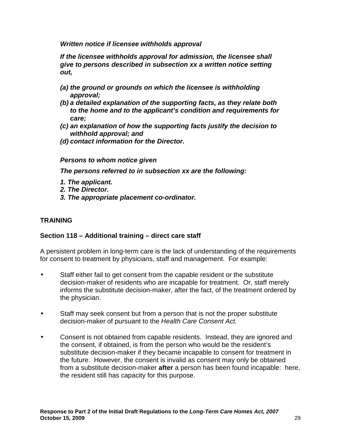**Written notice if licensee withholds approval** 

**If the licensee withholds approval for admission, the licensee shall give to persons described in subsection xx a written notice setting out,** 

- **(a) the ground or grounds on which the licensee is withholding approval;**
- **(b) a detailed explanation of the supporting facts, as they relate both to the home and to the applicant's condition and requirements for care;**
- **(c) an explanation of how the supporting facts justify the decision to withhold approval; and**
- **(d) contact information for the Director.**

#### **Persons to whom notice given**

**The persons referred to in subsection xx are the following:** 

- **1. The applicant.**
- **2. The Director.**
- **3. The appropriate placement co-ordinator.**

# **TRAINING**

# **Section 118 – Additional training – direct care staff**

A persistent problem in long-term care is the lack of understanding of the requirements for consent to treatment by physicians, staff and management. For example:

- Staff either fail to get consent from the capable resident or the substitute decision-maker of residents who are incapable for treatment. Or, staff merely informs the substitute decision-maker, after the fact, of the treatment ordered by the physician.
- Staff may seek consent but from a person that is not the proper substitute decision-maker of pursuant to the Health Care Consent Act.
- Consent is not obtained from capable residents. Instead, they are ignored and the consent, if obtained, is from the person who would be the resident's substitute decision-maker if they became incapable to consent for treatment in the future. However, the consent is invalid as consent may only be obtained from a substitute decision-maker **after** a person has been found incapable: here, the resident still has capacity for this purpose.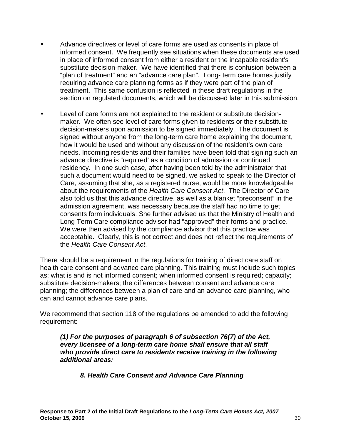- Advance directives or level of care forms are used as consents in place of informed consent. We frequently see situations when these documents are used in place of informed consent from either a resident or the incapable resident's substitute decision-maker. We have identified that there is confusion between a "plan of treatment" and an "advance care plan". Long- term care homes justify requiring advance care planning forms as if they were part of the plan of treatment. This same confusion is reflected in these draft regulations in the section on regulated documents, which will be discussed later in this submission.
- Level of care forms are not explained to the resident or substitute decisionmaker. We often see level of care forms given to residents or their substitute decision-makers upon admission to be signed immediately. The document is signed without anyone from the long-term care home explaining the document, how it would be used and without any discussion of the resident's own care needs. Incoming residents and their families have been told that signing such an advance directive is "required' as a condition of admission or continued residency. In one such case, after having been told by the administrator that such a document would need to be signed, we asked to speak to the Director of Care, assuming that she, as a registered nurse, would be more knowledgeable about the requirements of the Health Care Consent Act. The Director of Care also told us that this advance directive, as well as a blanket "preconsent" in the admission agreement, was necessary because the staff had no time to get consents form individuals. She further advised us that the Ministry of Health and Long-Term Care compliance advisor had "approved" their forms and practice. We were then advised by the compliance advisor that this practice was acceptable. Clearly, this is not correct and does not reflect the requirements of the Health Care Consent Act.

There should be a requirement in the regulations for training of direct care staff on health care consent and advance care planning. This training must include such topics as: what is and is not informed consent; when informed consent is required; capacity; substitute decision-makers; the differences between consent and advance care planning; the differences between a plan of care and an advance care planning, who can and cannot advance care plans.

We recommend that section 118 of the regulations be amended to add the following requirement:

**(1) For the purposes of paragraph 6 of subsection 76(7) of the Act, every licensee of a long-term care home shall ensure that all staff who provide direct care to residents receive training in the following additional areas:** 

 **8. Health Care Consent and Advance Care Planning**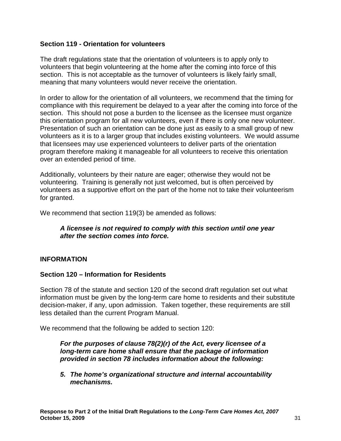#### **Section 119 - Orientation for volunteers**

The draft regulations state that the orientation of volunteers is to apply only to volunteers that begin volunteering at the home after the coming into force of this section. This is not acceptable as the turnover of volunteers is likely fairly small, meaning that many volunteers would never receive the orientation.

In order to allow for the orientation of all volunteers, we recommend that the timing for compliance with this requirement be delayed to a year after the coming into force of the section. This should not pose a burden to the licensee as the licensee must organize this orientation program for all new volunteers, even if there is only one new volunteer. Presentation of such an orientation can be done just as easily to a small group of new volunteers as it is to a larger group that includes existing volunteers. We would assume that licensees may use experienced volunteers to deliver parts of the orientation program therefore making it manageable for all volunteers to receive this orientation over an extended period of time.

Additionally, volunteers by their nature are eager; otherwise they would not be volunteering. Training is generally not just welcomed, but is often perceived by volunteers as a supportive effort on the part of the home not to take their volunteerism for granted.

We recommend that section 119(3) be amended as follows:

### **A licensee is not required to comply with this section until one year after the section comes into force.**

#### **INFORMATION**

#### **Section 120 – Information for Residents**

Section 78 of the statute and section 120 of the second draft regulation set out what information must be given by the long-term care home to residents and their substitute decision-maker, if any, upon admission. Taken together, these requirements are still less detailed than the current Program Manual.

We recommend that the following be added to section 120:

**For the purposes of clause 78(2)(r) of the Act, every licensee of a long-term care home shall ensure that the package of information provided in section 78 includes information about the following:**

**5. The home's organizational structure and internal accountability mechanisms.**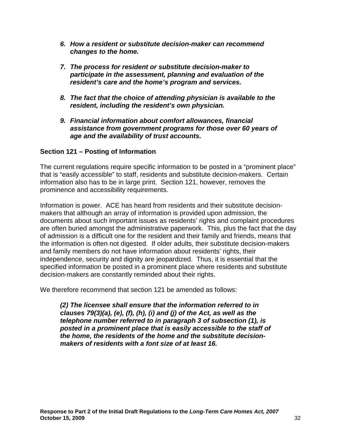- **6. How a resident or substitute decision-maker can recommend changes to the home.**
- **7. The process for resident or substitute decision-maker to participate in the assessment, planning and evaluation of the resident's care and the home's program and services.**
- **8. The fact that the choice of attending physician is available to the resident, including the resident's own physician.**
- **9. Financial information about comfort allowances, financial assistance from government programs for those over 60 years of age and the availability of trust accounts.**

### **Section 121 – Posting of Information**

The current regulations require specific information to be posted in a "prominent place" that is "easily accessible" to staff, residents and substitute decision-makers. Certain information also has to be in large print. Section 121, however, removes the prominence and accessibility requirements.

Information is power. ACE has heard from residents and their substitute decisionmakers that although an array of information is provided upon admission, the documents about such important issues as residents' rights and complaint procedures are often buried amongst the administrative paperwork. This, plus the fact that the day of admission is a difficult one for the resident and their family and friends, means that the information is often not digested. If older adults, their substitute decision-makers and family members do not have information about residents' rights, their independence, security and dignity are jeopardized. Thus, it is essential that the specified information be posted in a prominent place where residents and substitute decision-makers are constantly reminded about their rights.

We therefore recommend that section 121 be amended as follows:

**(2) The licensee shall ensure that the information referred to in clauses 79(3)(a), (e), (f), (h), (i) and (j) of the Act, as well as the telephone number referred to in paragraph 3 of subsection (1), is posted in a prominent place that is easily accessible to the staff of the home, the residents of the home and the substitute decisionmakers of residents with a font size of at least 16.**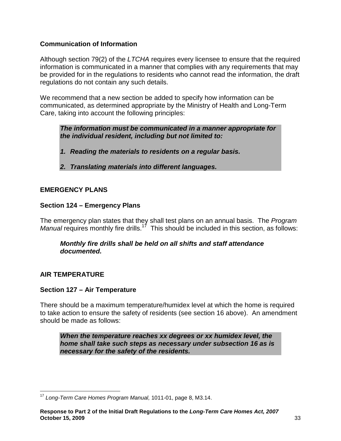# **Communication of Information**

Although section 79(2) of the LTCHA requires every licensee to ensure that the required information is communicated in a manner that complies with any requirements that may be provided for in the regulations to residents who cannot read the information, the draft regulations do not contain any such details.

We recommend that a new section be added to specify how information can be communicated, as determined appropriate by the Ministry of Health and Long-Term Care, taking into account the following principles:

**The information must be communicated in a manner appropriate for the individual resident, including but not limited to:** 

- **1. Reading the materials to residents on a regular basis.**
- **2. Translating materials into different languages.**

#### **EMERGENCY PLANS**

### **Section 124 – Emergency Plans**

The emergency plan states that they shall test plans on an annual basis. The Program Manual requires monthly fire drills.<sup>17</sup> This should be included in this section, as follows:

### **Monthly fire drills shall be held on all shifts and staff attendance documented.**

#### **AIR TEMPERATURE**

#### **Section 127 – Air Temperature**

There should be a maximum temperature/humidex level at which the home is required to take action to ensure the safety of residents (see section 16 above). An amendment should be made as follows:

**When the temperature reaches xx degrees or xx humidex level, the home shall take such steps as necessary under subsection 16 as is necessary for the safety of the residents.** 

 $\overline{a}$  $17$  Long-Term Care Homes Program Manual, 1011-01, page 8, M3.14.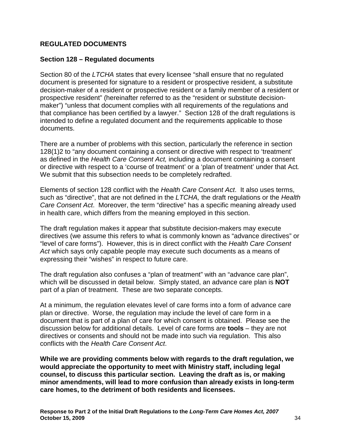### **REGULATED DOCUMENTS**

#### **Section 128 – Regulated documents**

Section 80 of the LTCHA states that every licensee "shall ensure that no regulated document is presented for signature to a resident or prospective resident, a substitute decision-maker of a resident or prospective resident or a family member of a resident or prospective resident" (hereinafter referred to as the "resident or substitute decisionmaker") "unless that document complies with all requirements of the regulations and that compliance has been certified by a lawyer." Section 128 of the draft regulations is intended to define a regulated document and the requirements applicable to those documents.

There are a number of problems with this section, particularly the reference in section 128(1)2 to "any document containing a consent or directive with respect to 'treatment' as defined in the Health Care Consent Act, including a document containing a consent or directive with respect to a 'course of treatment' or a 'plan of treatment' under that Act. We submit that this subsection needs to be completely redrafted.

Elements of section 128 conflict with the Health Care Consent Act. It also uses terms, such as "directive", that are not defined in the *LTCHA*, the draft regulations or the Health Care Consent Act. Moreover, the term "directive" has a specific meaning already used in health care, which differs from the meaning employed in this section.

The draft regulation makes it appear that substitute decision-makers may execute directives (we assume this refers to what is commonly known as "advance directives" or "level of care forms"). However, this is in direct conflict with the Health Care Consent Act which says only capable people may execute such documents as a means of expressing their "wishes" in respect to future care.

The draft regulation also confuses a "plan of treatment" with an "advance care plan", which will be discussed in detail below. Simply stated, an advance care plan is **NOT** part of a plan of treatment. These are two separate concepts.

At a minimum, the regulation elevates level of care forms into a form of advance care plan or directive. Worse, the regulation may include the level of care form in a document that is part of a plan of care for which consent is obtained. Please see the discussion below for additional details. Level of care forms are **tools** – they are not directives or consents and should not be made into such via regulation. This also conflicts with the Health Care Consent Act.

**While we are providing comments below with regards to the draft regulation, we would appreciate the opportunity to meet with Ministry staff, including legal counsel, to discuss this particular section. Leaving the draft as is, or making minor amendments, will lead to more confusion than already exists in long-term care homes, to the detriment of both residents and licensees.**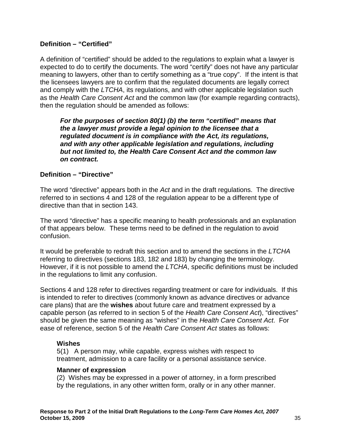### **Definition – "Certified"**

A definition of "certified" should be added to the regulations to explain what a lawyer is expected to do to certify the documents. The word "certify" does not have any particular meaning to lawyers, other than to certify something as a "true copy". If the intent is that the licensees lawyers are to confirm that the regulated documents are legally correct and comply with the LTCHA, its regulations, and with other applicable legislation such as the Health Care Consent Act and the common law (for example regarding contracts), then the regulation should be amended as follows:

**For the purposes of section 80(1) (b) the term "certified" means that the a lawyer must provide a legal opinion to the licensee that a regulated document is in compliance with the Act, its regulations, and with any other applicable legislation and regulations, including but not limited to, the Health Care Consent Act and the common law on contract.** 

### **Definition – "Directive"**

The word "directive" appears both in the Act and in the draft regulations. The directive referred to in sections 4 and 128 of the regulation appear to be a different type of directive than that in section 143.

The word "directive" has a specific meaning to health professionals and an explanation of that appears below. These terms need to be defined in the regulation to avoid confusion.

It would be preferable to redraft this section and to amend the sections in the LTCHA referring to directives (sections 183, 182 and 183) by changing the terminology. However, if it is not possible to amend the *LTCHA*, specific definitions must be included in the regulations to limit any confusion.

Sections 4 and 128 refer to directives regarding treatment or care for individuals. If this is intended to refer to directives (commonly known as advance directives or advance care plans) that are the **wishes** about future care and treatment expressed by a capable person (as referred to in section 5 of the Health Care Consent Act), "directives" should be given the same meaning as "wishes" in the Health Care Consent Act. For ease of reference, section 5 of the Health Care Consent Act states as follows:

#### **Wishes**

5(1) A person may, while capable, express wishes with respect to treatment, admission to a care facility or a personal assistance service.

#### **Manner of expression**

(2) Wishes may be expressed in a power of attorney, in a form prescribed by the regulations, in any other written form, orally or in any other manner.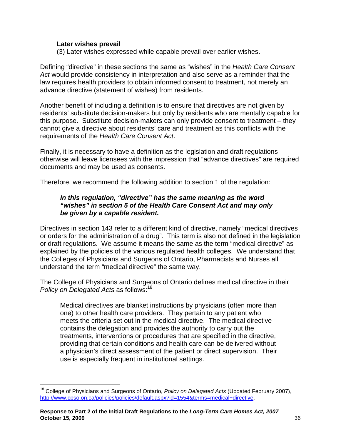#### **Later wishes prevail**

(3) Later wishes expressed while capable prevail over earlier wishes.

Defining "directive" in these sections the same as "wishes" in the Health Care Consent Act would provide consistency in interpretation and also serve as a reminder that the law requires health providers to obtain informed consent to treatment, not merely an advance directive (statement of wishes) from residents.

Another benefit of including a definition is to ensure that directives are not given by residents' substitute decision-makers but only by residents who are mentally capable for this purpose. Substitute decision-makers can only provide consent to treatment – they cannot give a directive about residents' care and treatment as this conflicts with the requirements of the Health Care Consent Act.

Finally, it is necessary to have a definition as the legislation and draft regulations otherwise will leave licensees with the impression that "advance directives" are required documents and may be used as consents.

Therefore, we recommend the following addition to section 1 of the regulation:

### **In this regulation, "directive" has the same meaning as the word "wishes" in section 5 of the Health Care Consent Act and may only be given by a capable resident.**

Directives in section 143 refer to a different kind of directive, namely "medical directives or orders for the administration of a drug". This term is also not defined in the legislation or draft regulations. We assume it means the same as the term "medical directive" as explained by the policies of the various regulated health colleges. We understand that the Colleges of Physicians and Surgeons of Ontario, Pharmacists and Nurses all understand the term "medical directive" the same way.

The College of Physicians and Surgeons of Ontario defines medical directive in their Policy on Delegated Acts as follows:<sup>18</sup>

Medical directives are blanket instructions by physicians (often more than one) to other health care providers. They pertain to any patient who meets the criteria set out in the medical directive. The medical directive contains the delegation and provides the authority to carry out the treatments, interventions or procedures that are specified in the directive, providing that certain conditions and health care can be delivered without a physician's direct assessment of the patient or direct supervision. Their use is especially frequent in institutional settings.

 $\overline{a}$ <sup>18</sup> College of Physicians and Surgeons of Ontario, Policy on Delegated Acts (Updated February 2007), http://www.cpso.on.ca/policies/policies/default.aspx?id=1554&terms=medical+directive.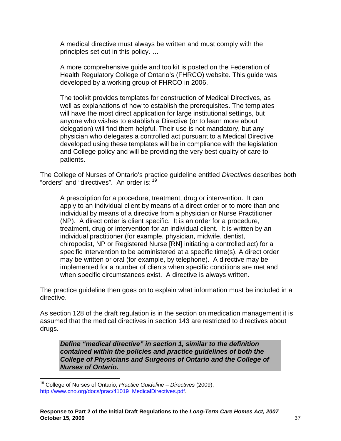A medical directive must always be written and must comply with the principles set out in this policy. …

A more comprehensive guide and toolkit is posted on the Federation of Health Regulatory College of Ontario's (FHRCO) website. This guide was developed by a working group of FHRCO in 2006.

The toolkit provides templates for construction of Medical Directives, as well as explanations of how to establish the prerequisites. The templates will have the most direct application for large institutional settings, but anyone who wishes to establish a Directive (or to learn more about delegation) will find them helpful. Their use is not mandatory, but any physician who delegates a controlled act pursuant to a Medical Directive developed using these templates will be in compliance with the legislation and College policy and will be providing the very best quality of care to patients.

The College of Nurses of Ontario's practice guideline entitled Directives describes both "orders" and "directives". An order is: <sup>19</sup>

A prescription for a procedure, treatment, drug or intervention. It can apply to an individual client by means of a direct order or to more than one individual by means of a directive from a physician or Nurse Practitioner (NP). A direct order is client specific. It is an order for a procedure, treatment, drug or intervention for an individual client. It is written by an individual practitioner (for example, physician, midwife, dentist, chiropodist, NP or Registered Nurse [RN] initiating a controlled act) for a specific intervention to be administered at a specific time(s). A direct order may be written or oral (for example, by telephone). A directive may be implemented for a number of clients when specific conditions are met and when specific circumstances exist. A directive is always written.

The practice guideline then goes on to explain what information must be included in a directive.

As section 128 of the draft regulation is in the section on medication management it is assumed that the medical directives in section 143 are restricted to directives about drugs.

**Define "medical directive" in section 1, similar to the definition contained within the policies and practice guidelines of both the College of Physicians and Surgeons of Ontario and the College of Nurses of Ontario.** 

 $\overline{a}$ 

<sup>&</sup>lt;sup>19</sup> College of Nurses of Ontario, *Practice Guideline – Directives* (2009), http://www.cno.org/docs/prac/41019\_MedicalDirectives.pdf.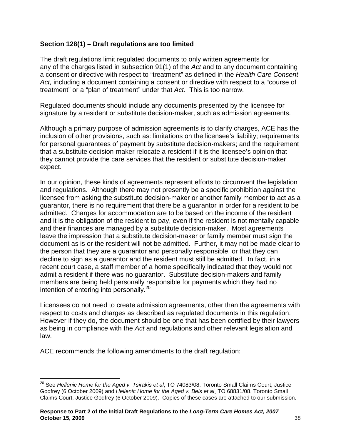### **Section 128(1) – Draft regulations are too limited**

The draft regulations limit regulated documents to only written agreements for any of the charges listed in subsection 91(1) of the Act and to any document containing a consent or directive with respect to "treatment" as defined in the Health Care Consent Act, including a document containing a consent or directive with respect to a "course of treatment" or a "plan of treatment" under that Act. This is too narrow.

Regulated documents should include any documents presented by the licensee for signature by a resident or substitute decision-maker, such as admission agreements.

Although a primary purpose of admission agreements is to clarify charges, ACE has the inclusion of other provisions, such as: limitations on the licensee's liability; requirements for personal guarantees of payment by substitute decision-makers; and the requirement that a substitute decision-maker relocate a resident if it is the licensee's opinion that they cannot provide the care services that the resident or substitute decision-maker expect.

In our opinion, these kinds of agreements represent efforts to circumvent the legislation and regulations. Although there may not presently be a specific prohibition against the licensee from asking the substitute decision-maker or another family member to act as a guarantor, there is no requirement that there be a guarantor in order for a resident to be admitted. Charges for accommodation are to be based on the income of the resident and it is the obligation of the resident to pay, even if the resident is not mentally capable and their finances are managed by a substitute decision-maker. Most agreements leave the impression that a substitute decision-maker or family member must sign the document as is or the resident will not be admitted. Further, it may not be made clear to the person that they are a guarantor and personally responsible, or that they can decline to sign as a guarantor and the resident must still be admitted. In fact, in a recent court case, a staff member of a home specifically indicated that they would not admit a resident if there was no guarantor. Substitute decision-makers and family members are being held personally responsible for payments which they had no intention of entering into personally. $^{20}$ 

Licensees do not need to create admission agreements, other than the agreements with respect to costs and charges as described as regulated documents in this regulation. However if they do, the document should be one that has been certified by their lawyers as being in compliance with the Act and regulations and other relevant legislation and law.

ACE recommends the following amendments to the draft regulation:

 $\overline{a}$  $^{20}$  See Hellenic Home for the Aged v. Tsirakis et al, TO 74083/08, Toronto Small Claims Court, Justice Godfrey (6 October 2009) and Hellenic Home for the Aged v. Beis et al¸ TO 68831/08, Toronto Small Claims Court, Justice Godfrey (6 October 2009). Copies of these cases are attached to our submission.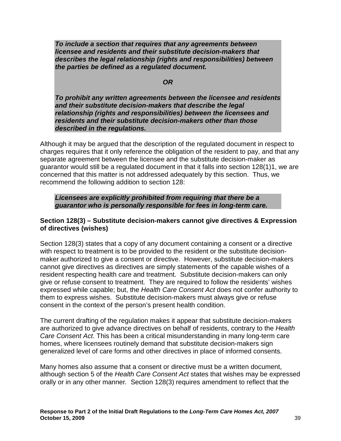**To include a section that requires that any agreements between licensee and residents and their substitute decision-makers that describes the legal relationship (rights and responsibilities) between the parties be defined as a regulated document.** 

#### **OR**

**To prohibit any written agreements between the licensee and residents and their substitute decision-makers that describe the legal relationship (rights and responsibilities) between the licensees and residents and their substitute decision-makers other than those described in the regulations.** 

Although it may be argued that the description of the regulated document in respect to charges requires that it only reference the obligation of the resident to pay, and that any separate agreement between the licensee and the substitute decision-maker as guarantor would still be a regulated document in that it falls into section 128(1)1, we are concerned that this matter is not addressed adequately by this section. Thus, we recommend the following addition to section 128:

#### **Licensees are explicitly prohibited from requiring that there be a guarantor who is personally responsible for fees in long-term care.**

#### **Section 128(3) – Substitute decision-makers cannot give directives & Expression of directives (wishes)**

Section 128(3) states that a copy of any document containing a consent or a directive with respect to treatment is to be provided to the resident or the substitute decisionmaker authorized to give a consent or directive. However, substitute decision-makers cannot give directives as directives are simply statements of the capable wishes of a resident respecting health care and treatment. Substitute decision-makers can only give or refuse consent to treatment. They are required to follow the residents' wishes expressed while capable; but, the Health Care Consent Act does not confer authority to them to express wishes. Substitute decision-makers must always give or refuse consent in the context of the person's present health condition.

The current drafting of the regulation makes it appear that substitute decision-makers are authorized to give advance directives on behalf of residents, contrary to the Health Care Consent Act. This has been a critical misunderstanding in many long-term care homes, where licensees routinely demand that substitute decision-makers sign generalized level of care forms and other directives in place of informed consents.

Many homes also assume that a consent or directive must be a written document, although section 5 of the Health Care Consent Act states that wishes may be expressed orally or in any other manner. Section 128(3) requires amendment to reflect that the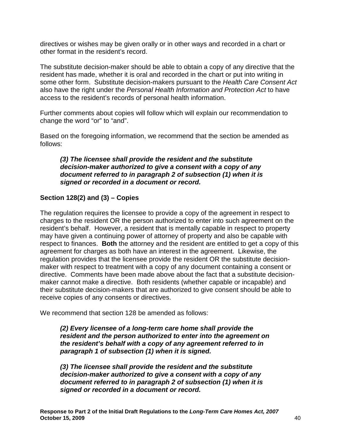directives or wishes may be given orally or in other ways and recorded in a chart or other format in the resident's record.

The substitute decision-maker should be able to obtain a copy of any directive that the resident has made, whether it is oral and recorded in the chart or put into writing in some other form. Substitute decision-makers pursuant to the Health Care Consent Act also have the right under the Personal Health Information and Protection Act to have access to the resident's records of personal health information.

Further comments about copies will follow which will explain our recommendation to change the word "or" to "and".

Based on the foregoing information, we recommend that the section be amended as follows:

#### **(3) The licensee shall provide the resident and the substitute decision-maker authorized to give a consent with a copy of any document referred to in paragraph 2 of subsection (1) when it is signed or recorded in a document or record.**

# **Section 128(2) and (3) – Copies**

The regulation requires the licensee to provide a copy of the agreement in respect to charges to the resident OR the person authorized to enter into such agreement on the resident's behalf. However, a resident that is mentally capable in respect to property may have given a continuing power of attorney of property and also be capable with respect to finances. **Both** the attorney and the resident are entitled to get a copy of this agreement for charges as both have an interest in the agreement. Likewise, the regulation provides that the licensee provide the resident OR the substitute decisionmaker with respect to treatment with a copy of any document containing a consent or directive. Comments have been made above about the fact that a substitute decisionmaker cannot make a directive. Both residents (whether capable or incapable) and their substitute decision-makers that are authorized to give consent should be able to receive copies of any consents or directives.

We recommend that section 128 be amended as follows:

**(2) Every licensee of a long-term care home shall provide the resident and the person authorized to enter into the agreement on the resident's behalf with a copy of any agreement referred to in paragraph 1 of subsection (1) when it is signed.** 

**(3) The licensee shall provide the resident and the substitute decision-maker authorized to give a consent with a copy of any document referred to in paragraph 2 of subsection (1) when it is signed or recorded in a document or record.**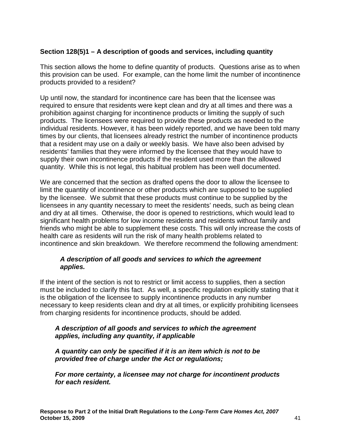# **Section 128(5)1 – A description of goods and services, including quantity**

This section allows the home to define quantity of products. Questions arise as to when this provision can be used. For example, can the home limit the number of incontinence products provided to a resident?

Up until now, the standard for incontinence care has been that the licensee was required to ensure that residents were kept clean and dry at all times and there was a prohibition against charging for incontinence products or limiting the supply of such products. The licensees were required to provide these products as needed to the individual residents. However, it has been widely reported, and we have been told many times by our clients, that licensees already restrict the number of incontinence products that a resident may use on a daily or weekly basis. We have also been advised by residents' families that they were informed by the licensee that they would have to supply their own incontinence products if the resident used more than the allowed quantity. While this is not legal, this habitual problem has been well documented.

We are concerned that the section as drafted opens the door to allow the licensee to limit the quantity of incontinence or other products which are supposed to be supplied by the licensee. We submit that these products must continue to be supplied by the licensees in any quantity necessary to meet the residents' needs, such as being clean and dry at all times. Otherwise, the door is opened to restrictions, which would lead to significant health problems for low income residents and residents without family and friends who might be able to supplement these costs. This will only increase the costs of health care as residents will run the risk of many health problems related to incontinence and skin breakdown. We therefore recommend the following amendment:

#### **A description of all goods and services to which the agreement applies.**

If the intent of the section is not to restrict or limit access to supplies, then a section must be included to clarify this fact. As well, a specific regulation explicitly stating that it is the obligation of the licensee to supply incontinence products in any number necessary to keep residents clean and dry at all times, or explicitly prohibiting licensees from charging residents for incontinence products, should be added.

#### **A description of all goods and services to which the agreement applies, including any quantity, if applicable**

**A quantity can only be specified if it is an item which is not to be provided free of charge under the Act or regulations;** 

**For more certainty, a licensee may not charge for incontinent products for each resident.**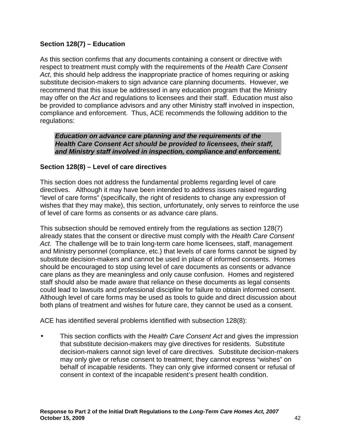# **Section 128(7) – Education**

As this section confirms that any documents containing a consent or directive with respect to treatment must comply with the requirements of the Health Care Consent Act, this should help address the inappropriate practice of homes requiring or asking substitute decision-makers to sign advance care planning documents. However, we recommend that this issue be addressed in any education program that the Ministry may offer on the Act and regulations to licensees and their staff. Education must also be provided to compliance advisors and any other Ministry staff involved in inspection, compliance and enforcement. Thus, ACE recommends the following addition to the regulations:

**Education on advance care planning and the requirements of the Health Care Consent Act should be provided to licensees, their staff, and Ministry staff involved in inspection, compliance and enforcement.** 

# **Section 128(8) – Level of care directives**

This section does not address the fundamental problems regarding level of care directives. Although it may have been intended to address issues raised regarding "level of care forms" (specifically, the right of residents to change any expression of wishes that they may make), this section, unfortunately, only serves to reinforce the use of level of care forms as consents or as advance care plans.

This subsection should be removed entirely from the regulations as section 128(7) already states that the consent or directive must comply with the Health Care Consent Act. The challenge will be to train long-term care home licensees, staff, management and Ministry personnel (compliance, etc.) that levels of care forms cannot be signed by substitute decision-makers and cannot be used in place of informed consents. Homes should be encouraged to stop using level of care documents as consents or advance care plans as they are meaningless and only cause confusion. Homes and registered staff should also be made aware that reliance on these documents as legal consents could lead to lawsuits and professional discipline for failure to obtain informed consent. Although level of care forms may be used as tools to guide and direct discussion about both plans of treatment and wishes for future care, they cannot be used as a consent.

ACE has identified several problems identified with subsection 128(8):

This section conflicts with the Health Care Consent Act and gives the impression that substitute decision-makers may give directives for residents. Substitute decision-makers cannot sign level of care directives. Substitute decision-makers may only give or refuse consent to treatment; they cannot express "wishes" on behalf of incapable residents. They can only give informed consent or refusal of consent in context of the incapable resident's present health condition.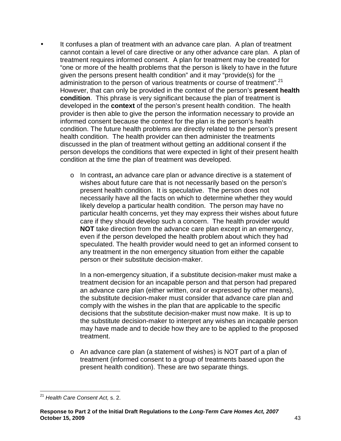- It confuses a plan of treatment with an advance care plan. A plan of treatment cannot contain a level of care directive or any other advance care plan. A plan of treatment requires informed consent. A plan for treatment may be created for "one or more of the health problems that the person is likely to have in the future given the persons present health condition" and it may "provide(s) for the administration to the person of various treatments or course of treatment".<sup>21</sup> However, that can only be provided in the context of the person's **present health condition**. This phrase is very significant because the plan of treatment is developed in the **context** of the person's present health condition. The health provider is then able to give the person the information necessary to provide an informed consent because the context for the plan is the person's health condition. The future health problems are directly related to the person's present health condition. The health provider can then administer the treatments discussed in the plan of treatment without getting an additional consent if the person develops the conditions that were expected in light of their present health condition at the time the plan of treatment was developed.
	- o In contrast**,** an advance care plan or advance directive is a statement of wishes about future care that is not necessarily based on the person's present health condition. It is speculative. The person does not necessarily have all the facts on which to determine whether they would likely develop a particular health condition. The person may have no particular health concerns, yet they may express their wishes about future care if they should develop such a concern. The health provider would **NOT** take direction from the advance care plan except in an emergency, even if the person developed the health problem about which they had speculated. The health provider would need to get an informed consent to any treatment in the non emergency situation from either the capable person or their substitute decision-maker.

In a non-emergency situation, if a substitute decision-maker must make a treatment decision for an incapable person and that person had prepared an advance care plan (either written, oral or expressed by other means), the substitute decision-maker must consider that advance care plan and comply with the wishes in the plan that are applicable to the specific decisions that the substitute decision-maker must now make. It is up to the substitute decision-maker to interpret any wishes an incapable person may have made and to decide how they are to be applied to the proposed treatment.

o An advance care plan (a statement of wishes) is NOT part of a plan of treatment (informed consent to a group of treatments based upon the present health condition). These are two separate things.

 $\overline{a}$  $^{21}$  Health Care Consent Act, s. 2.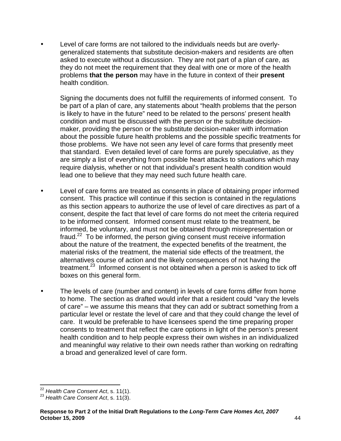• Level of care forms are not tailored to the individuals needs but are overlygeneralized statements that substitute decision-makers and residents are often asked to execute without a discussion. They are not part of a plan of care, as they do not meet the requirement that they deal with one or more of the health problems **that the person** may have in the future in context of their **present**  health condition.

Signing the documents does not fulfill the requirements of informed consent. To be part of a plan of care, any statements about "health problems that the person is likely to have in the future" need to be related to the persons' present health condition and must be discussed with the person or the substitute decisionmaker, providing the person or the substitute decision-maker with information about the possible future health problems and the possible specific treatments for those problems. We have not seen any level of care forms that presently meet that standard. Even detailed level of care forms are purely speculative, as they are simply a list of everything from possible heart attacks to situations which may require dialysis, whether or not that individual's present health condition would lead one to believe that they may need such future health care.

- Level of care forms are treated as consents in place of obtaining proper informed consent. This practice will continue if this section is contained in the regulations as this section appears to authorize the use of level of care directives as part of a consent, despite the fact that level of care forms do not meet the criteria required to be informed consent. Informed consent must relate to the treatment, be informed, be voluntary, and must not be obtained through misrepresentation or fraud.<sup>22</sup> To be informed, the person giving consent must receive information about the nature of the treatment, the expected benefits of the treatment, the material risks of the treatment, the material side effects of the treatment, the alternatives course of action and the likely consequences of not having the treatment.<sup>23</sup> Informed consent is not obtained when a person is asked to tick off boxes on this general form.
- The levels of care (number and content) in levels of care forms differ from home to home. The section as drafted would infer that a resident could "vary the levels of care" – we assume this means that they can add or subtract something from a particular level or restate the level of care and that they could change the level of care. It would be preferable to have licensees spend the time preparing proper consents to treatment that reflect the care options in light of the person's present health condition and to help people express their own wishes in an individualized and meaningful way relative to their own needs rather than working on redrafting a broad and generalized level of care form.

 $\overline{a}$  $^{22}$  Health Care Consent Act, s. 11(1).

<sup>&</sup>lt;sup>23</sup> Health Care Consent Act, s. 11(3).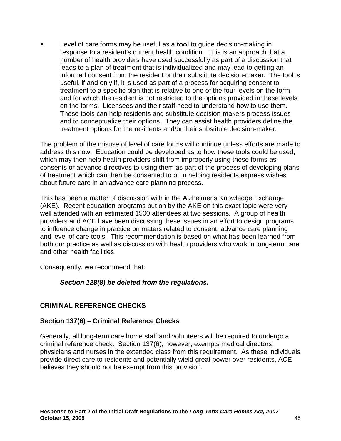• Level of care forms may be useful as a **tool** to guide decision-making in response to a resident's current health condition. This is an approach that a number of health providers have used successfully as part of a discussion that leads to a plan of treatment that is individualized and may lead to getting an informed consent from the resident or their substitute decision-maker. The tool is useful, if and only if, it is used as part of a process for acquiring consent to treatment to a specific plan that is relative to one of the four levels on the form and for which the resident is not restricted to the options provided in these levels on the forms. Licensees and their staff need to understand how to use them. These tools can help residents and substitute decision-makers process issues and to conceptualize their options. They can assist health providers define the treatment options for the residents and/or their substitute decision-maker.

The problem of the misuse of level of care forms will continue unless efforts are made to address this now. Education could be developed as to how these tools could be used, which may then help health providers shift from improperly using these forms as consents or advance directives to using them as part of the process of developing plans of treatment which can then be consented to or in helping residents express wishes about future care in an advance care planning process.

This has been a matter of discussion with in the Alzheimer's Knowledge Exchange (AKE). Recent education programs put on by the AKE on this exact topic were very well attended with an estimated 1500 attendees at two sessions. A group of health providers and ACE have been discussing these issues in an effort to design programs to influence change in practice on maters related to consent, advance care planning and level of care tools. This recommendation is based on what has been learned from both our practice as well as discussion with health providers who work in long-term care and other health facilities.

Consequently, we recommend that:

# **Section 128(8) be deleted from the regulations.**

# **CRIMINAL REFERENCE CHECKS**

#### **Section 137(6) – Criminal Reference Checks**

Generally, all long-term care home staff and volunteers will be required to undergo a criminal reference check. Section 137(6), however, exempts medical directors, physicians and nurses in the extended class from this requirement. As these individuals provide direct care to residents and potentially wield great power over residents, ACE believes they should not be exempt from this provision.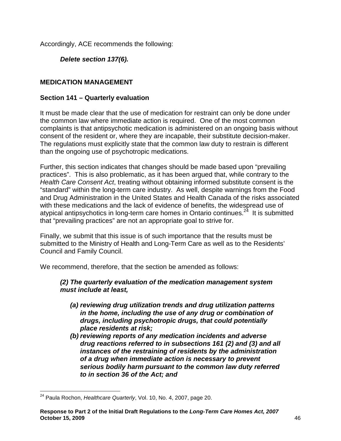Accordingly, ACE recommends the following:

**Delete section 137(6).** 

# **MEDICATION MANAGEMENT**

### **Section 141 – Quarterly evaluation**

It must be made clear that the use of medication for restraint can only be done under the common law where immediate action is required. One of the most common complaints is that antipsychotic medication is administered on an ongoing basis without consent of the resident or, where they are incapable, their substitute decision-maker. The regulations must explicitly state that the common law duty to restrain is different than the ongoing use of psychotropic medications.

Further, this section indicates that changes should be made based upon "prevailing practices". This is also problematic, as it has been argued that, while contrary to the Health Care Consent Act, treating without obtaining informed substitute consent is the "standard" within the long-term care industry. As well, despite warnings from the Food and Drug Administration in the United States and Health Canada of the risks associated with these medications and the lack of evidence of benefits, the widespread use of atypical antipsychotics in long-term care homes in Ontario continues.<sup>24</sup> It is submitted that "prevailing practices" are not an appropriate goal to strive for.

Finally, we submit that this issue is of such importance that the results must be submitted to the Ministry of Health and Long-Term Care as well as to the Residents' Council and Family Council.

We recommend, therefore, that the section be amended as follows:

### **(2) The quarterly evaluation of the medication management system must include at least,**

- **(a) reviewing drug utilization trends and drug utilization patterns in the home, including the use of any drug or combination of drugs, including psychotropic drugs, that could potentially place residents at risk;**
- **(b) reviewing reports of any medication incidents and adverse drug reactions referred to in subsections 161 (2) and (3) and all instances of the restraining of residents by the administration of a drug when immediate action is necessary to prevent serious bodily harm pursuant to the common law duty referred to in section 36 of the Act; and**

 $\overline{a}$  $^{24}$  Paula Rochon, Healthcare Quarterly, Vol. 10, No. 4, 2007, page 20.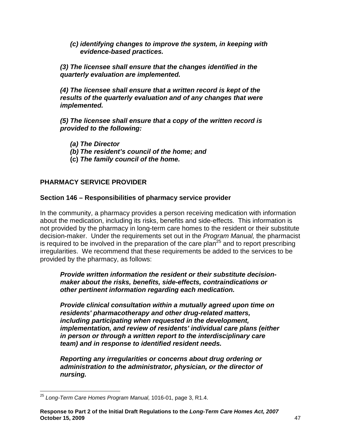**(c) identifying changes to improve the system, in keeping with evidence-based practices.** 

**(3) The licensee shall ensure that the changes identified in the quarterly evaluation are implemented.** 

**(4) The licensee shall ensure that a written record is kept of the results of the quarterly evaluation and of any changes that were implemented.** 

**(5) The licensee shall ensure that a copy of the written record is provided to the following:** 

**(a) The Director** 

- **(b) The resident's council of the home; and**
- **(c) The family council of the home.**

# **PHARMACY SERVICE PROVIDER**

### **Section 146 – Responsibilities of pharmacy service provider**

In the community, a pharmacy provides a person receiving medication with information about the medication, including its risks, benefits and side-effects. This information is not provided by the pharmacy in long-term care homes to the resident or their substitute decision-maker. Under the requirements set out in the Program Manual, the pharmacist is required to be involved in the preparation of the care plan<sup>25</sup> and to report prescribing irregularities. We recommend that these requirements be added to the services to be provided by the pharmacy, as follows:

**Provide written information the resident or their substitute decisionmaker about the risks, benefits, side-effects, contraindications or other pertinent information regarding each medication.** 

**Provide clinical consultation within a mutually agreed upon time on residents' pharmacotherapy and other drug-related matters, including participating when requested in the development, implementation, and review of residents' individual care plans (either in person or through a written report to the interdisciplinary care team) and in response to identified resident needs.**

**Reporting any irregularities or concerns about drug ordering or administration to the administrator, physician, or the director of nursing.** 

 $\overline{\phantom{a}}$  $^{25}$  Long-Term Care Homes Program Manual, 1016-01, page 3, R1.4.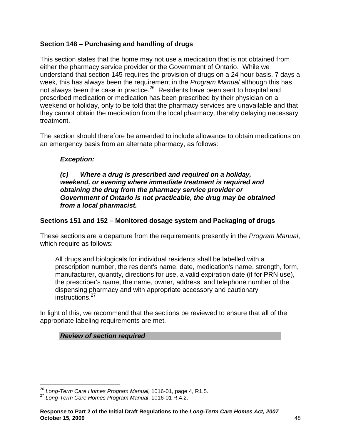# **Section 148 – Purchasing and handling of drugs**

This section states that the home may not use a medication that is not obtained from either the pharmacy service provider or the Government of Ontario. While we understand that section 145 requires the provision of drugs on a 24 hour basis, 7 days a week, this has always been the requirement in the Program Manual although this has not always been the case in practice.<sup>26</sup> Residents have been sent to hospital and prescribed medication or medication has been prescribed by their physician on a weekend or holiday, only to be told that the pharmacy services are unavailable and that they cannot obtain the medication from the local pharmacy, thereby delaying necessary treatment.

The section should therefore be amended to include allowance to obtain medications on an emergency basis from an alternate pharmacy, as follows:

# **Exception:**

**(c) Where a drug is prescribed and required on a holiday, weekend, or evening where immediate treatment is required and obtaining the drug from the pharmacy service provider or Government of Ontario is not practicable, the drug may be obtained from a local pharmacist.** 

# **Sections 151 and 152 – Monitored dosage system and Packaging of drugs**

These sections are a departure from the requirements presently in the Program Manual, which require as follows:

All drugs and biologicals for individual residents shall be labelled with a prescription number, the resident's name, date, medication's name, strength, form, manufacturer, quantity, directions for use, a valid expiration date (if for PRN use), the prescriber's name, the name, owner, address, and telephone number of the dispensing pharmacy and with appropriate accessory and cautionary instructions.<sup>27</sup>

In light of this, we recommend that the sections be reviewed to ensure that all of the appropriate labeling requirements are met.

# **Review of section required**

 $\overline{a}$  $^{26}$  Long-Term Care Homes Program Manual, 1016-01, page 4, R1.5.

<sup>27</sup> Long-Term Care Homes Program Manual, 1016-01 R.4.2.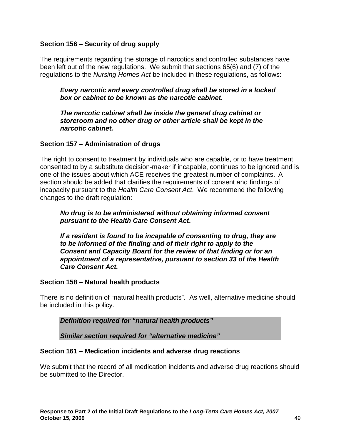#### **Section 156 – Security of drug supply**

The requirements regarding the storage of narcotics and controlled substances have been left out of the new regulations. We submit that sections 65(6) and (7) of the regulations to the Nursing Homes Act be included in these regulations, as follows:

**Every narcotic and every controlled drug shall be stored in a locked box or cabinet to be known as the narcotic cabinet.**

**The narcotic cabinet shall be inside the general drug cabinet or storeroom and no other drug or other article shall be kept in the narcotic cabinet.** 

#### **Section 157 – Administration of drugs**

The right to consent to treatment by individuals who are capable, or to have treatment consented to by a substitute decision-maker if incapable, continues to be ignored and is one of the issues about which ACE receives the greatest number of complaints. A section should be added that clarifies the requirements of consent and findings of incapacity pursuant to the Health Care Consent Act. We recommend the following changes to the draft regulation:

#### **No drug is to be administered without obtaining informed consent pursuant to the Health Care Consent Act.**

**If a resident is found to be incapable of consenting to drug, they are to be informed of the finding and of their right to apply to the Consent and Capacity Board for the review of that finding or for an appointment of a representative, pursuant to section 33 of the Health Care Consent Act.** 

#### **Section 158 – Natural health products**

There is no definition of "natural health products". As well, alternative medicine should be included in this policy.

**Definition required for "natural health products"** 

**Similar section required for "alternative medicine"**

#### **Section 161 – Medication incidents and adverse drug reactions**

We submit that the record of all medication incidents and adverse drug reactions should be submitted to the Director.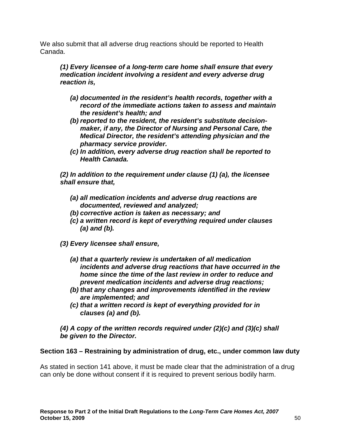We also submit that all adverse drug reactions should be reported to Health Canada.

**(1) Every licensee of a long-term care home shall ensure that every medication incident involving a resident and every adverse drug reaction is,** 

- **(a) documented in the resident's health records, together with a record of the immediate actions taken to assess and maintain the resident's health; and**
- **(b) reported to the resident, the resident's substitute decisionmaker, if any, the Director of Nursing and Personal Care, the Medical Director, the resident's attending physician and the pharmacy service provider.**
- **(c) In addition, every adverse drug reaction shall be reported to Health Canada.**

**(2) In addition to the requirement under clause (1) (a), the licensee shall ensure that,** 

- **(a) all medication incidents and adverse drug reactions are documented, reviewed and analyzed;**
- **(b) corrective action is taken as necessary; and**
- **(c) a written record is kept of everything required under clauses (a) and (b).**
- **(3) Every licensee shall ensure,** 
	- **(a) that a quarterly review is undertaken of all medication incidents and adverse drug reactions that have occurred in the home since the time of the last review in order to reduce and prevent medication incidents and adverse drug reactions;**
	- **(b) that any changes and improvements identified in the review are implemented; and**
	- **(c) that a written record is kept of everything provided for in clauses (a) and (b).**

**(4) A copy of the written records required under (2)(c) and (3)(c) shall be given to the Director.** 

# **Section 163 – Restraining by administration of drug, etc., under common law duty**

As stated in section 141 above, it must be made clear that the administration of a drug can only be done without consent if it is required to prevent serious bodily harm.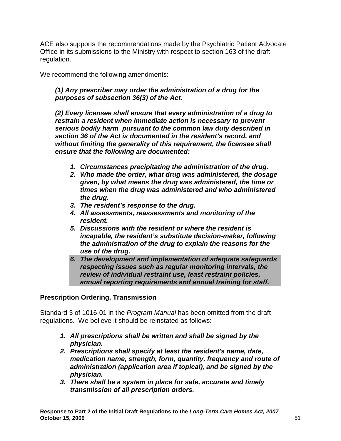ACE also supports the recommendations made by the Psychiatric Patient Advocate Office in its submissions to the Ministry with respect to section 163 of the draft regulation.

We recommend the following amendments:

# **(1) Any prescriber may order the administration of a drug for the purposes of subsection 36(3) of the Act.**

**(2) Every licensee shall ensure that every administration of a drug to restrain a resident when immediate action is necessary to prevent serious bodily harm pursuant to the common law duty described in section 36 of the Act is documented in the resident's record, and without limiting the generality of this requirement, the licensee shall ensure that the following are documented:** 

- **1. Circumstances precipitating the administration of the drug.**
- **2. Who made the order, what drug was administered, the dosage given, by what means the drug was administered, the time or times when the drug was administered and who administered the drug.**
- **3. The resident's response to the drug.**
- **4. All assessments, reassessments and monitoring of the resident.**
- **5. Discussions with the resident or where the resident is incapable, the resident's substitute decision-maker, following the administration of the drug to explain the reasons for the use of the drug.**
- **6. The development and implementation of adequate safeguards respecting issues such as regular monitoring intervals, the review of individual restraint use, least restraint policies, annual reporting requirements and annual training for staff.**

# **Prescription Ordering, Transmission**

Standard 3 of 1016-01 in the *Program Manual* has been omitted from the draft regulations. We believe it should be reinstated as follows:

- **1. All prescriptions shall be written and shall be signed by the physician.**
- **2. Prescriptions shall specify at least the resident's name, date, medication name, strength, form, quantity, frequency and route of administration (application area if topical), and be signed by the physician.**
- **3. There shall be a system in place for safe, accurate and timely transmission of all prescription orders.**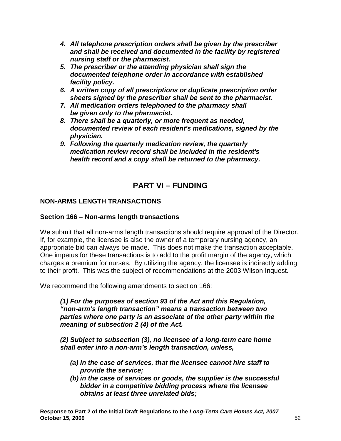- **4. All telephone prescription orders shall be given by the prescriber and shall be received and documented in the facility by registered nursing staff or the pharmacist.**
- **5. The prescriber or the attending physician shall sign the documented telephone order in accordance with established facility policy.**
- **6. A written copy of all prescriptions or duplicate prescription order sheets signed by the prescriber shall be sent to the pharmacist.**
- **7. All medication orders telephoned to the pharmacy shall be given only to the pharmacist.**
- **8. There shall be a quarterly, or more frequent as needed, documented review of each resident's medications, signed by the physician.**
- **9. Following the quarterly medication review, the quarterly medication review record shall be included in the resident's health record and a copy shall be returned to the pharmacy.**

# **PART VI – FUNDING**

# **NON-ARMS LENGTH TRANSACTIONS**

# **Section 166 – Non-arms length transactions**

We submit that all non-arms length transactions should require approval of the Director. If, for example, the licensee is also the owner of a temporary nursing agency, an appropriate bid can always be made. This does not make the transaction acceptable. One impetus for these transactions is to add to the profit margin of the agency, which charges a premium for nurses. By utilizing the agency, the licensee is indirectly adding to their profit. This was the subject of recommendations at the 2003 Wilson Inquest.

We recommend the following amendments to section 166:

**(1) For the purposes of section 93 of the Act and this Regulation, "non-arm's length transaction" means a transaction between two parties where one party is an associate of the other party within the meaning of subsection 2 (4) of the Act.** 

**(2) Subject to subsection (3), no licensee of a long-term care home shall enter into a non-arm's length transaction, unless,** 

- **(a) in the case of services, that the licensee cannot hire staff to provide the service;**
- **(b) in the case of services or goods, the supplier is the successful bidder in a competitive bidding process where the licensee obtains at least three unrelated bids;**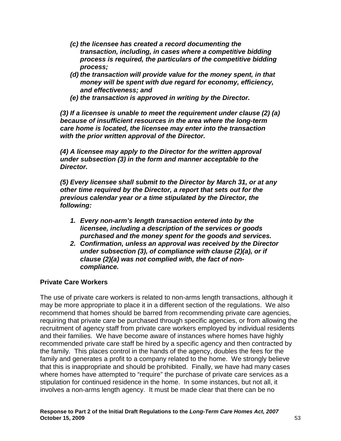- **(c) the licensee has created a record documenting the transaction, including, in cases where a competitive bidding process is required, the particulars of the competitive bidding process;**
- **(d) the transaction will provide value for the money spent, in that money will be spent with due regard for economy, efficiency, and effectiveness; and**
- **(e) the transaction is approved in writing by the Director.**

**(3) If a licensee is unable to meet the requirement under clause (2) (a) because of insufficient resources in the area where the long-term care home is located, the licensee may enter into the transaction with the prior written approval of the Director.** 

**(4) A licensee may apply to the Director for the written approval under subsection (3) in the form and manner acceptable to the Director.** 

**(5) Every licensee shall submit to the Director by March 31, or at any other time required by the Director, a report that sets out for the previous calendar year or a time stipulated by the Director, the following:** 

- **1. Every non-arm's length transaction entered into by the licensee, including a description of the services or goods purchased and the money spent for the goods and services.**
- **2. Confirmation, unless an approval was received by the Director under subsection (3), of compliance with clause (2)(a), or if clause (2)(a) was not complied with, the fact of noncompliance.**

# **Private Care Workers**

The use of private care workers is related to non-arms length transactions, although it may be more appropriate to place it in a different section of the regulations. We also recommend that homes should be barred from recommending private care agencies, requiring that private care be purchased through specific agencies, or from allowing the recruitment of agency staff from private care workers employed by individual residents and their families. We have become aware of instances where homes have highly recommended private care staff be hired by a specific agency and then contracted by the family. This places control in the hands of the agency, doubles the fees for the family and generates a profit to a company related to the home. We strongly believe that this is inappropriate and should be prohibited. Finally, we have had many cases where homes have attempted to "require" the purchase of private care services as a stipulation for continued residence in the home. In some instances, but not all, it involves a non-arms length agency. It must be made clear that there can be no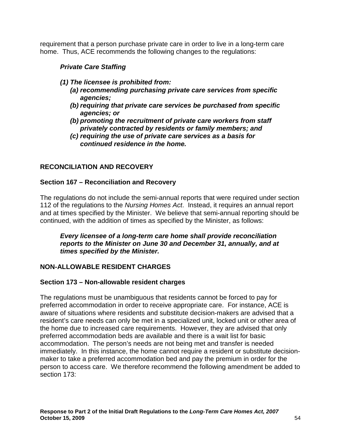requirement that a person purchase private care in order to live in a long-term care home. Thus, ACE recommends the following changes to the regulations:

# **Private Care Staffing**

- **(1) The licensee is prohibited from:** 
	- **(a) recommending purchasing private care services from specific agencies;**
	- **(b) requiring that private care services be purchased from specific agencies; or**
	- **(b) promoting the recruitment of private care workers from staff privately contracted by residents or family members; and**
	- **(c) requiring the use of private care services as a basis for continued residence in the home.**

# **RECONCILIATION AND RECOVERY**

### **Section 167 – Reconciliation and Recovery**

The regulations do not include the semi-annual reports that were required under section 112 of the regulations to the Nursing Homes Act. Instead, it requires an annual report and at times specified by the Minister. We believe that semi-annual reporting should be continued, with the addition of times as specified by the Minister, as follows:

**Every licensee of a long-term care home shall provide reconciliation reports to the Minister on June 30 and December 31, annually, and at times specified by the Minister.**

# **NON-ALLOWABLE RESIDENT CHARGES**

#### **Section 173 – Non-allowable resident charges**

The regulations must be unambiguous that residents cannot be forced to pay for preferred accommodation in order to receive appropriate care. For instance, ACE is aware of situations where residents and substitute decision-makers are advised that a resident's care needs can only be met in a specialized unit, locked unit or other area of the home due to increased care requirements. However, they are advised that only preferred accommodation beds are available and there is a wait list for basic accommodation. The person's needs are not being met and transfer is needed immediately. In this instance, the home cannot require a resident or substitute decisionmaker to take a preferred accommodation bed and pay the premium in order for the person to access care. We therefore recommend the following amendment be added to section 173: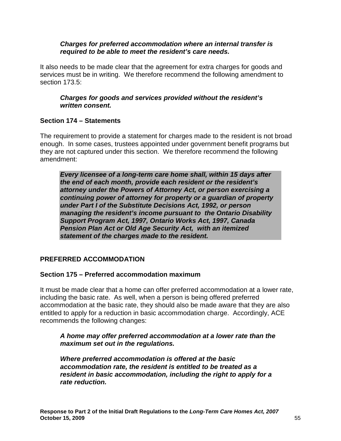#### **Charges for preferred accommodation where an internal transfer is required to be able to meet the resident's care needs.**

It also needs to be made clear that the agreement for extra charges for goods and services must be in writing. We therefore recommend the following amendment to section 173.5:

#### **Charges for goods and services provided without the resident's written consent.**

### **Section 174 – Statements**

The requirement to provide a statement for charges made to the resident is not broad enough. In some cases, trustees appointed under government benefit programs but they are not captured under this section. We therefore recommend the following amendment:

**Every licensee of a long-term care home shall, within 15 days after the end of each month, provide each resident or the resident's attorney under the Powers of Attorney Act, or person exercising a continuing power of attorney for property or a guardian of property under Part I of the Substitute Decisions Act, 1992, or person managing the resident's income pursuant to the Ontario Disability Support Program Act, 1997, Ontario Works Act, 1997, Canada Pension Plan Act or Old Age Security Act, with an itemized statement of the charges made to the resident.** 

# **PREFERRED ACCOMMODATION**

#### **Section 175 – Preferred accommodation maximum**

It must be made clear that a home can offer preferred accommodation at a lower rate, including the basic rate. As well, when a person is being offered preferred accommodation at the basic rate, they should also be made aware that they are also entitled to apply for a reduction in basic accommodation charge. Accordingly, ACE recommends the following changes:

#### **A home may offer preferred accommodation at a lower rate than the maximum set out in the regulations.**

**Where preferred accommodation is offered at the basic accommodation rate, the resident is entitled to be treated as a resident in basic accommodation, including the right to apply for a rate reduction.**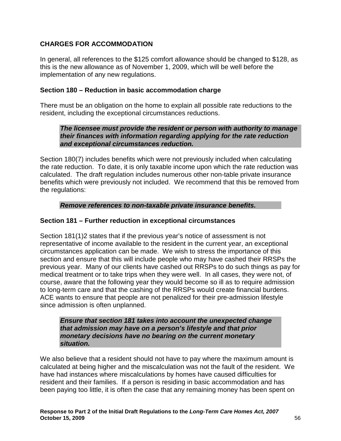# **CHARGES FOR ACCOMMODATION**

In general, all references to the \$125 comfort allowance should be changed to \$128, as this is the new allowance as of November 1, 2009, which will be well before the implementation of any new regulations.

#### **Section 180 – Reduction in basic accommodation charge**

There must be an obligation on the home to explain all possible rate reductions to the resident, including the exceptional circumstances reductions.

**The licensee must provide the resident or person with authority to manage their finances with information regarding applying for the rate reduction and exceptional circumstances reduction.** 

Section 180(7) includes benefits which were not previously included when calculating the rate reduction. To date, it is only taxable income upon which the rate reduction was calculated. The draft regulation includes numerous other non-table private insurance benefits which were previously not included. We recommend that this be removed from the regulations:

#### **Remove references to non-taxable private insurance benefits.**

### **Section 181 – Further reduction in exceptional circumstances**

Section 181(1)2 states that if the previous year's notice of assessment is not representative of income available to the resident in the current year, an exceptional circumstances application can be made. We wish to stress the importance of this section and ensure that this will include people who may have cashed their RRSPs the previous year. Many of our clients have cashed out RRSPs to do such things as pay for medical treatment or to take trips when they were well. In all cases, they were not, of course, aware that the following year they would become so ill as to require admission to long-term care and that the cashing of the RRSPs would create financial burdens. ACE wants to ensure that people are not penalized for their pre-admission lifestyle since admission is often unplanned.

**Ensure that section 181 takes into account the unexpected change that admission may have on a person's lifestyle and that prior monetary decisions have no bearing on the current monetary situation.** 

We also believe that a resident should not have to pay where the maximum amount is calculated at being higher and the miscalculation was not the fault of the resident. We have had instances where miscalculations by homes have caused difficulties for resident and their families. If a person is residing in basic accommodation and has been paying too little, it is often the case that any remaining money has been spent on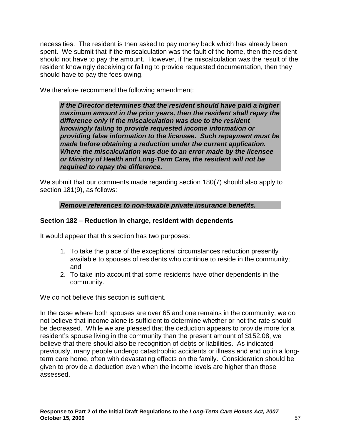necessities. The resident is then asked to pay money back which has already been spent. We submit that if the miscalculation was the fault of the home, then the resident should not have to pay the amount. However, if the miscalculation was the result of the resident knowingly deceiving or failing to provide requested documentation, then they should have to pay the fees owing.

We therefore recommend the following amendment:

**If the Director determines that the resident should have paid a higher maximum amount in the prior years, then the resident shall repay the difference only if the miscalculation was due to the resident knowingly failing to provide requested income information or providing false information to the licensee. Such repayment must be made before obtaining a reduction under the current application. Where the miscalculation was due to an error made by the licensee or Ministry of Health and Long-Term Care, the resident will not be required to repay the difference.** 

We submit that our comments made regarding section 180(7) should also apply to section 181(9), as follows:

### **Remove references to non-taxable private insurance benefits.**

# **Section 182 – Reduction in charge, resident with dependents**

It would appear that this section has two purposes:

- 1. To take the place of the exceptional circumstances reduction presently available to spouses of residents who continue to reside in the community; and
- 2. To take into account that some residents have other dependents in the community.

We do not believe this section is sufficient.

In the case where both spouses are over 65 and one remains in the community, we do not believe that income alone is sufficient to determine whether or not the rate should be decreased. While we are pleased that the deduction appears to provide more for a resident's spouse living in the community than the present amount of \$152.08, we believe that there should also be recognition of debts or liabilities. As indicated previously, many people undergo catastrophic accidents or illness and end up in a longterm care home, often with devastating effects on the family. Consideration should be given to provide a deduction even when the income levels are higher than those assessed.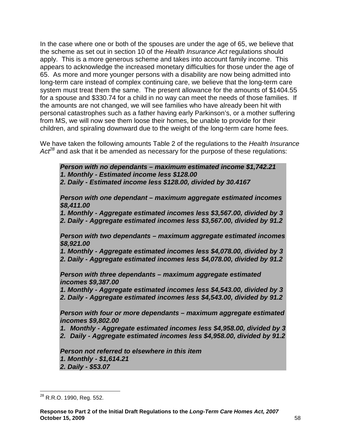In the case where one or both of the spouses are under the age of 65, we believe that the scheme as set out in section 10 of the Health Insurance Act regulations should apply. This is a more generous scheme and takes into account family income. This appears to acknowledge the increased monetary difficulties for those under the age of 65. As more and more younger persons with a disability are now being admitted into long-term care instead of complex continuing care, we believe that the long-term care system must treat them the same. The present allowance for the amounts of \$1404.55 for a spouse and \$330.74 for a child in no way can meet the needs of those families. If the amounts are not changed, we will see families who have already been hit with personal catastrophes such as a father having early Parkinson's, or a mother suffering from MS, we will now see them loose their homes, be unable to provide for their children, and spiraling downward due to the weight of the long-term care home fees.

We have taken the following amounts Table 2 of the regulations to the Health Insurance  $Ac<sup>28</sup>$  and ask that it be amended as necessary for the purpose of these regulations:

**Person with no dependants – maximum estimated income \$1,742.21 1. Monthly - Estimated income less \$128.00** 

**2. Daily - Estimated income less \$128.00, divided by 30.4167** 

**Person with one dependant – maximum aggregate estimated incomes \$8,411.00** 

**1. Monthly - Aggregate estimated incomes less \$3,567.00, divided by 3 2. Daily - Aggregate estimated incomes less \$3,567.00, divided by 91.2** 

**Person with two dependants – maximum aggregate estimated incomes \$8,921.00** 

**1. Monthly - Aggregate estimated incomes less \$4,078.00, divided by 3 2. Daily - Aggregate estimated incomes less \$4,078.00, divided by 91.2** 

**Person with three dependants – maximum aggregate estimated incomes \$9,387.00** 

**1. Monthly - Aggregate estimated incomes less \$4,543.00, divided by 3 2. Daily - Aggregate estimated incomes less \$4,543.00, divided by 91.2** 

**Person with four or more dependants – maximum aggregate estimated incomes \$9,802.00** 

**1. Monthly - Aggregate estimated incomes less \$4,958.00, divided by 3** 

**2. Daily - Aggregate estimated incomes less \$4,958.00, divided by 91.2** 

**Person not referred to elsewhere in this item 1. Monthly - \$1,614.21** 

**2. Daily - \$53.07** 

 $\overline{a}$  $^{28}$  R.R.O. 1990, Reg. 552.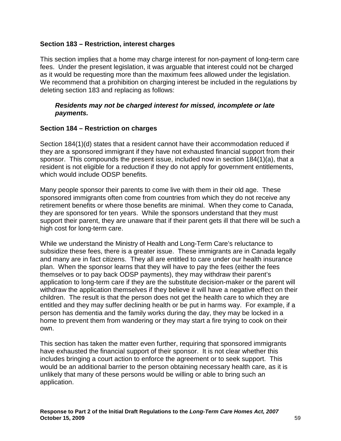#### **Section 183 – Restriction, interest charges**

This section implies that a home may charge interest for non-payment of long-term care fees. Under the present legislation, it was arguable that interest could not be charged as it would be requesting more than the maximum fees allowed under the legislation. We recommend that a prohibition on charging interest be included in the regulations by deleting section 183 and replacing as follows:

#### **Residents may not be charged interest for missed, incomplete or late payments.**

### **Section 184 – Restriction on charges**

Section 184(1)(d) states that a resident cannot have their accommodation reduced if they are a sponsored immigrant if they have not exhausted financial support from their sponsor. This compounds the present issue, included now in section 184(1)(a), that a resident is not eligible for a reduction if they do not apply for government entitlements, which would include ODSP benefits.

Many people sponsor their parents to come live with them in their old age. These sponsored immigrants often come from countries from which they do not receive any retirement benefits or where those benefits are minimal. When they come to Canada, they are sponsored for ten years. While the sponsors understand that they must support their parent, they are unaware that if their parent gets ill that there will be such a high cost for long-term care.

While we understand the Ministry of Health and Long-Term Care's reluctance to subsidize these fees, there is a greater issue. These immigrants are in Canada legally and many are in fact citizens. They all are entitled to care under our health insurance plan. When the sponsor learns that they will have to pay the fees (either the fees themselves or to pay back ODSP payments), they may withdraw their parent's application to long-term care if they are the substitute decision-maker or the parent will withdraw the application themselves if they believe it will have a negative effect on their children. The result is that the person does not get the health care to which they are entitled and they may suffer declining health or be put in harms way. For example, if a person has dementia and the family works during the day, they may be locked in a home to prevent them from wandering or they may start a fire trying to cook on their own.

This section has taken the matter even further, requiring that sponsored immigrants have exhausted the financial support of their sponsor. It is not clear whether this includes bringing a court action to enforce the agreement or to seek support. This would be an additional barrier to the person obtaining necessary health care, as it is unlikely that many of these persons would be willing or able to bring such an application.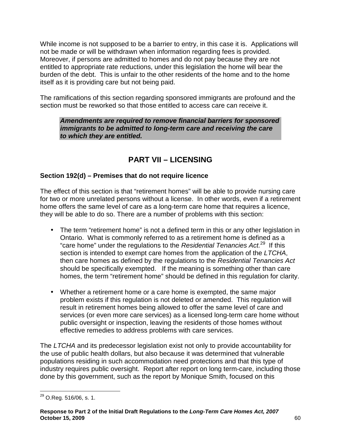While income is not supposed to be a barrier to entry, in this case it is. Applications will not be made or will be withdrawn when information regarding fees is provided. Moreover, if persons are admitted to homes and do not pay because they are not entitled to appropriate rate reductions, under this legislation the home will bear the burden of the debt. This is unfair to the other residents of the home and to the home itself as it is providing care but not being paid.

The ramifications of this section regarding sponsored immigrants are profound and the section must be reworked so that those entitled to access care can receive it.

**Amendments are required to remove financial barriers for sponsored immigrants to be admitted to long-term care and receiving the care to which they are entitled.** 

# **PART VII – LICENSING**

# **Section 192(d) – Premises that do not require licence**

The effect of this section is that "retirement homes" will be able to provide nursing care for two or more unrelated persons without a license. In other words, even if a retirement home offers the same level of care as a long-term care home that requires a licence, they will be able to do so. There are a number of problems with this section:

- The term "retirement home" is not a defined term in this or any other legislation in Ontario. What is commonly referred to as a retirement home is defined as a "care home" under the regulations to the Residential Tenancies  $Act.^{29}$  If this section is intended to exempt care homes from the application of the LTCHA, then care homes as defined by the regulations to the Residential Tenancies Act should be specifically exempted. If the meaning is something other than care homes, the term "retirement home" should be defined in this regulation for clarity.
- Whether a retirement home or a care home is exempted, the same major problem exists if this regulation is not deleted or amended. This regulation will result in retirement homes being allowed to offer the same level of care and services (or even more care services) as a licensed long-term care home without public oversight or inspection, leaving the residents of those homes without effective remedies to address problems with care services.

The LTCHA and its predecessor legislation exist not only to provide accountability for the use of public health dollars, but also because it was determined that vulnerable populations residing in such accommodation need protections and that this type of industry requires public oversight. Report after report on long term-care, including those done by this government, such as the report by Monique Smith, focused on this

 $\overline{\phantom{a}}$  $^{29}$  O.Reg. 516/06, s. 1.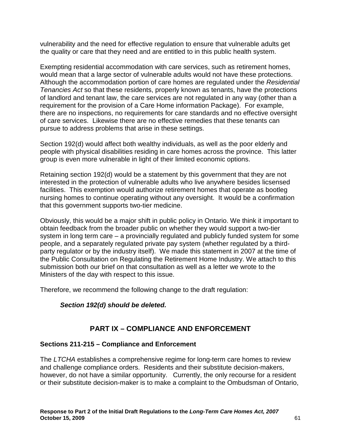vulnerability and the need for effective regulation to ensure that vulnerable adults get the quality or care that they need and are entitled to in this public health system.

Exempting residential accommodation with care services, such as retirement homes, would mean that a large sector of vulnerable adults would not have these protections. Although the accommodation portion of care homes are regulated under the Residential Tenancies Act so that these residents, properly known as tenants, have the protections of landlord and tenant law, the care services are not regulated in any way (other than a requirement for the provision of a Care Home information Package). For example, there are no inspections, no requirements for care standards and no effective oversight of care services. Likewise there are no effective remedies that these tenants can pursue to address problems that arise in these settings.

Section 192(d) would affect both wealthy individuals, as well as the poor elderly and people with physical disabilities residing in care homes across the province. This latter group is even more vulnerable in light of their limited economic options.

Retaining section 192(d) would be a statement by this government that they are not interested in the protection of vulnerable adults who live anywhere besides licsensed facilities. This exemption would authorize retirement homes that operate as bootleg nursing homes to continue operating without any oversight. It would be a confirmation that this government supports two-tier medicine.

Obviously, this would be a major shift in public policy in Ontario. We think it important to obtain feedback from the broader public on whether they would support a two-tier system in long term care – a provincially regulated and publicly funded system for some people, and a separately regulated private pay system (whether regulated by a thirdparty regulator or by the industry itself). We made this statement in 2007 at the time of the Public Consultation on Regulating the Retirement Home Industry. We attach to this submission both our brief on that consultation as well as a letter we wrote to the Ministers of the day with respect to this issue.

Therefore, we recommend the following change to the draft regulation:

# **Section 192(d) should be deleted.**

# **PART IX – COMPLIANCE AND ENFORCEMENT**

#### **Sections 211-215 – Compliance and Enforcement**

The LTCHA establishes a comprehensive regime for long-term care homes to review and challenge compliance orders. Residents and their substitute decision-makers, however, do not have a similar opportunity. Currently, the only recourse for a resident or their substitute decision-maker is to make a complaint to the Ombudsman of Ontario,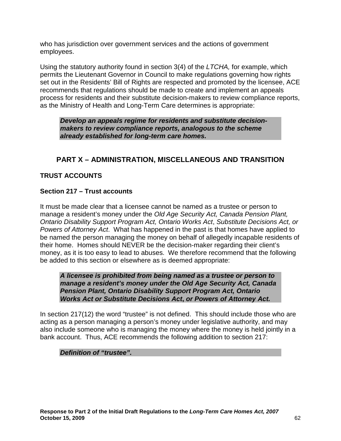who has jurisdiction over government services and the actions of government employees.

Using the statutory authority found in section 3(4) of the LTCHA, for example, which permits the Lieutenant Governor in Council to make regulations governing how rights set out in the Residents' Bill of Rights are respected and promoted by the licensee, ACE recommends that regulations should be made to create and implement an appeals process for residents and their substitute decision-makers to review compliance reports, as the Ministry of Health and Long-Term Care determines is appropriate:

**Develop an appeals regime for residents and substitute decisionmakers to review compliance reports, analogous to the scheme already established for long-term care homes.** 

# **PART X – ADMINISTRATION, MISCELLANEOUS AND TRANSITION**

# **TRUST ACCOUNTS**

### **Section 217 – Trust accounts**

It must be made clear that a licensee cannot be named as a trustee or person to manage a resident's money under the Old Age Security Act, Canada Pension Plant, Ontario Disability Support Program Act, Ontario Works Act, Substitute Decisions Act, or Powers of Attorney Act. What has happened in the past is that homes have applied to be named the person managing the money on behalf of allegedly incapable residents of their home. Homes should NEVER be the decision-maker regarding their client's money, as it is too easy to lead to abuses. We therefore recommend that the following be added to this section or elsewhere as is deemed appropriate:

**A licensee is prohibited from being named as a trustee or person to manage a resident's money under the Old Age Security Act, Canada Pension Plant, Ontario Disability Support Program Act, Ontario Works Act or Substitute Decisions Act, or Powers of Attorney Act.** 

In section 217(12) the word "trustee" is not defined. This should include those who are acting as a person managing a person's money under legislative authority, and may also include someone who is managing the money where the money is held jointly in a bank account. Thus, ACE recommends the following addition to section 217:

#### **Definition of "trustee".**